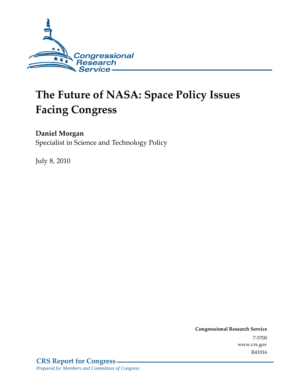

# **The Future of NASA: Space Policy Issues Facing Congress**

## **Daniel Morgan**

Specialist in Science and Technology Policy

July 8, 2010

**Congressional Research Service** 7-5700 www.crs.gov R41016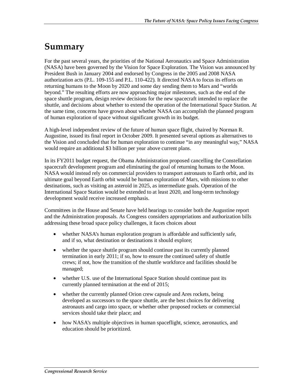# **Summary**

For the past several years, the priorities of the National Aeronautics and Space Administration (NASA) have been governed by the Vision for Space Exploration. The Vision was announced by President Bush in January 2004 and endorsed by Congress in the 2005 and 2008 NASA authorization acts (P.L. 109-155 and P.L. 110-422). It directed NASA to focus its efforts on returning humans to the Moon by 2020 and some day sending them to Mars and "worlds beyond." The resulting efforts are now approaching major milestones, such as the end of the space shuttle program, design review decisions for the new spacecraft intended to replace the shuttle, and decisions about whether to extend the operation of the International Space Station. At the same time, concerns have grown about whether NASA can accomplish the planned program of human exploration of space without significant growth in its budget.

A high-level independent review of the future of human space flight, chaired by Norman R. Augustine, issued its final report in October 2009. It presented several options as alternatives to the Vision and concluded that for human exploration to continue "in any meaningful way," NASA would require an additional \$3 billion per year above current plans.

In its FY2011 budget request, the Obama Administration proposed cancelling the Constellation spacecraft development program and eliminating the goal of returning humans to the Moon. NASA would instead rely on commercial providers to transport astronauts to Earth orbit, and its ultimate goal beyond Earth orbit would be human exploration of Mars, with missions to other destinations, such as visiting an asteroid in 2025, as intermediate goals. Operation of the International Space Station would be extended to at least 2020, and long-term technology development would receive increased emphasis.

Committees in the House and Senate have held hearings to consider both the Augustine report and the Administration proposals. As Congress considers appropriations and authorization bills addressing these broad space policy challenges, it faces choices about

- whether NASA's human exploration program is affordable and sufficiently safe, and if so, what destination or destinations it should explore;
- whether the space shuttle program should continue past its currently planned termination in early 2011; if so, how to ensure the continued safety of shuttle crews; if not, how the transition of the shuttle workforce and facilities should be managed;
- whether U.S. use of the International Space Station should continue past its currently planned termination at the end of 2015;
- whether the currently planned Orion crew capsule and Ares rockets, being developed as successors to the space shuttle, are the best choices for delivering astronauts and cargo into space, or whether other proposed rockets or commercial services should take their place; and
- how NASA's multiple objectives in human spaceflight, science, aeronautics, and education should be prioritized.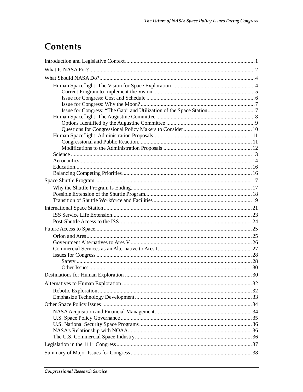# Contents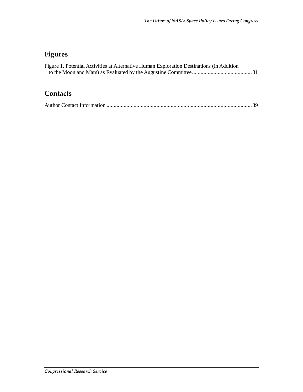## **Figures**

| Figure 1. Potential Activities at Alternative Human Exploration Destinations (in Addition |  |
|-------------------------------------------------------------------------------------------|--|
|                                                                                           |  |
|                                                                                           |  |
|                                                                                           |  |

## **Contacts**

|--|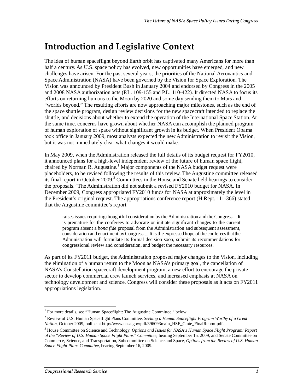# **Introduction and Legislative Context**

The idea of human spaceflight beyond Earth orbit has captivated many Americans for more than half a century. As U.S. space policy has evolved, new opportunities have emerged, and new challenges have arisen. For the past several years, the priorities of the National Aeronautics and Space Administration (NASA) have been governed by the Vision for Space Exploration. The Vision was announced by President Bush in January 2004 and endorsed by Congress in the 2005 and 2008 NASA authorization acts (P.L. 109-155 and P.L. 110-422). It directed NASA to focus its efforts on returning humans to the Moon by 2020 and some day sending them to Mars and "worlds beyond." The resulting efforts are now approaching major milestones, such as the end of the space shuttle program, design review decisions for the new spacecraft intended to replace the shuttle, and decisions about whether to extend the operation of the International Space Station. At the same time, concerns have grown about whether NASA can accomplish the planned program of human exploration of space without significant growth in its budget. When President Obama took office in January 2009, most analysts expected the new Administration to revisit the Vision, but it was not immediately clear what changes it would make.

In May 2009, when the Administration released the full details of its budget request for FY2010, it announced plans for a high-level independent review of the future of human space flight, chaired by Norman R. Augustine.<sup>1</sup> Major components of the NASA budget request were placeholders, to be revised following the results of this review. The Augustine committee released its final report in October 2009.<sup>2</sup> Committees in the House and Senate held hearings to consider the proposals.<sup>3</sup> The Administration did not submit a revised FY2010 budget for NASA. In December 2009, Congress appropriated FY2010 funds for NASA at approximately the level in the President's original request. The appropriations conference report (H.Rept. 111-366) stated that the Augustine committee's report

raises issues requiring thoughtful consideration by the Administration and the Congress.... It is premature for the conferees to advocate or initiate significant changes to the current program absent a *bona fide* proposal from the Administration and subsequent assessment, consideration and enactment by Congress.... It is the expressed hope of the conferees that the Administration will formulate its formal decision soon, submit its recommendations for congressional review and consideration, and budget the necessary resources.

As part of its FY2011 budget, the Administration proposed major changes to the Vision, including the elimination of a human return to the Moon as NASA's primary goal, the cancellation of NASA's Constellation spacecraft development program, a new effort to encourage the private sector to develop commercial crew launch services, and increased emphasis at NASA on technology development and science. Congress will consider these proposals as it acts on FY2011 appropriations legislation.

 $\frac{1}{1}$ <sup>1</sup> For more details, see "Human Spaceflight: The Augustine Committee," below.

<sup>2</sup> Review of U.S. Human Spaceflight Plans Committee, *Seeking a Human Spaceflight Program Worthy of a Great Nation*, October 2009, online at http://www.nasa.gov/pdf/396093main\_HSF\_Cmte\_FinalReport.pdf.

<sup>&</sup>lt;sup>3</sup> House Committee on Science and Technology, *Options and Issues for NASA's Human Space Flight Program: Report of the "Review of U.S. Human Space Flight Plans" Committee*, hearing September 15, 2009; and Senate Committee on Commerce, Science, and Transportation, Subcommittee on Science and Space, *Options from the Review of U.S. Human Space Flight Plans Committee*, hearing September 16, 2009.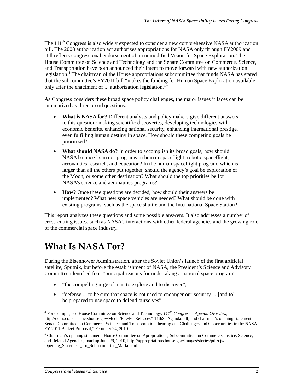The 111<sup>th</sup> Congress is also widely expected to consider a new comprehensive NASA authorization bill. The 2008 authorization act authorizes appropriations for NASA only through FY2009 and still reflects congressional endorsement of an unmodified Vision for Space Exploration. The House Committee on Science and Technology and the Senate Committee on Commerce, Science, and Transportation have both announced their intent to move forward with new authorization legislation.<sup>4</sup> The chairman of the House appropriations subcommittee that funds NASA has stated that the subcommittee's FY2011 bill "makes the funding for Human Space Exploration available only after the enactment of ... authorization legislation."

As Congress considers these broad space policy challenges, the major issues it faces can be summarized as three broad questions:

- **What is NASA for?** Different analysts and policy makers give different answers to this question: making scientific discoveries, developing technologies with economic benefits, enhancing national security, enhancing international prestige, even fulfilling human destiny in space. How should these competing goals be prioritized?
- **What should NASA do?** In order to accomplish its broad goals, how should NASA balance its major programs in human spaceflight, robotic spaceflight, aeronautics research, and education? In the human spaceflight program, which is larger than all the others put together, should the agency's goal be exploration of the Moon, or some other destination? What should the top priorities be for NASA's science and aeronautics programs?
- **How?** Once these questions are decided, how should their answers be implemented? What new space vehicles are needed? What should be done with existing programs, such as the space shuttle and the International Space Station?

This report analyzes these questions and some possible answers. It also addresses a number of cross-cutting issues, such as NASA's interactions with other federal agencies and the growing role of the commercial space industry.

# **What Is NASA For?**

During the Eisenhower Administration, after the Soviet Union's launch of the first artificial satellite, Sputnik, but before the establishment of NASA, the President's Science and Advisory Committee identified four "principal reasons for undertaking a national space program":

- "the compelling urge of man to explore and to discover";
- "defense ... to be sure that space is not used to endanger our security ... [and to] be prepared to use space to defend ourselves";

<u>.</u>

<sup>&</sup>lt;sup>4</sup> For example, see House Committee on Science and Technology,  $III^{th}$  Congress – Agenda Overview, http://democrats.science.house.gov/Media/File/ForReleases/111thSTAgenda.pdf; and chairman's opening statement, Senate Committee on Commerce, Science, and Transportation, hearing on "Challenges and Opportunities in the NASA FY 2011 Budget Proposal," February 24, 2010.

<sup>&</sup>lt;sup>5</sup> Chairman's opening statement, House Committee on Apropriations, Subcommittee on Commerce, Justice, Science, and Related Agencies, markup June 29, 2010, http://appropriations.house.gov/images/stories/pdf/cjs/ Opening\_Statement\_for\_Subcommittee\_Markup.pdf.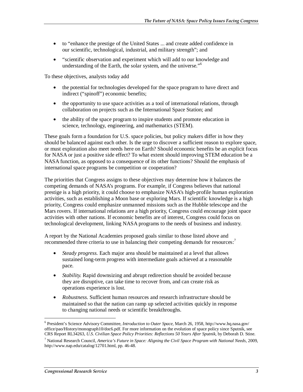- to "enhance the prestige of the United States ... and create added confidence in our scientific, technological, industrial, and military strength"; and
- "scientific observation and experiment which will add to our knowledge and understanding of the Earth, the solar system, and the universe."<sup>6</sup>

To these objectives, analysts today add

- the potential for technologies developed for the space program to have direct and indirect ("spinoff") economic benefits;
- the opportunity to use space activities as a tool of international relations, through collaboration on projects such as the International Space Station; and
- the ability of the space program to inspire students and promote education in science, technology, engineering, and mathematics (STEM).

These goals form a foundation for U.S. space policies, but policy makers differ in how they should be balanced against each other. Is the urge to discover a sufficient reason to explore space, or must exploration also meet needs here on Earth? Should economic benefits be an explicit focus for NASA or just a positive side effect? To what extent should improving STEM education be a NASA function, as opposed to a consequence of its other functions? Should the emphasis of international space programs be competition or cooperation?

The priorities that Congress assigns to these objectives may determine how it balances the competing demands of NASA's programs. For example, if Congress believes that national prestige is a high priority, it could choose to emphasize NASA's high-profile human exploration activities, such as establishing a Moon base or exploring Mars. If scientific knowledge is a high priority, Congress could emphasize unmanned missions such as the Hubble telescope and the Mars rovers. If international relations are a high priority, Congress could encourage joint space activities with other nations. If economic benefits are of interest, Congress could focus on technological development, linking NASA programs to the needs of business and industry.

A report by the National Academies proposed goals similar to those listed above and recommended three criteria to use in balancing their competing demands for resources:<sup>7</sup>

- *Steady progress.* Each major area should be maintained at a level that allows sustained long-term progress with intermediate goals achieved at a reasonable pace.
- *Stability.* Rapid downsizing and abrupt redirection should be avoided because they are disruptive, can take time to recover from, and can create risk as operations experience is lost.
- *Robustness.* Sufficient human resources and research infrastructure should be maintained so that the nation can ramp up selected activities quickly in response to changing national needs or scientific breakthroughs.

<sup>&</sup>lt;u>.</u> 6 President's Science Advisory Committee, *Introduction to Outer Space*, March 26, 1958, http://www.hq.nasa.gov/ office/pao/History/monograph10/doc6.pdf. For more information on the evolution of space policy since Sputnik, see CRS Report RL34263, *U.S. Civilian Space Policy Priorities: Reflections 50 Years After Sputnik*, by Deborah D. Stine.

<sup>7</sup> National Research Council, *America's Future in Space: Aligning the Civil Space Program with National Needs*, 2009, http://www.nap.edu/catalog/12701.html, pp. 46-48.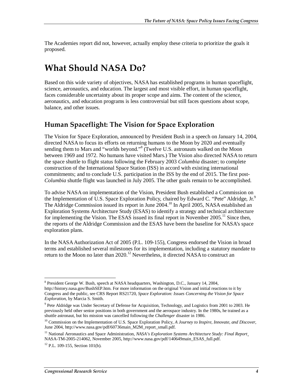The Academies report did not, however, actually employ these criteria to prioritize the goals it proposed.

# **What Should NASA Do?**

Based on this wide variety of objectives, NASA has established programs in human spaceflight, science, aeronautics, and education. The largest and most visible effort, in human spaceflight, faces considerable uncertainty about its proper scope and aims. The content of the science, aeronautics, and education programs is less controversial but still faces questions about scope, balance, and other issues.

## **Human Spaceflight: The Vision for Space Exploration**

The Vision for Space Exploration, announced by President Bush in a speech on January 14, 2004, directed NASA to focus its efforts on returning humans to the Moon by 2020 and eventually sending them to Mars and "worlds beyond."<sup>8</sup> (Twelve U.S. astronauts walked on the Moon between 1969 and 1972. No humans have visited Mars.) The Vision also directed NASA to return the space shuttle to flight status following the February 2003 *Columbia* disaster; to complete construction of the International Space Station (ISS) in accord with existing international commitments; and to conclude U.S. participation in the ISS by the end of 2015. The first post-*Columbia* shuttle flight was launched in July 2005. The other goals remain to be accomplished.

To advise NASA on implementation of the Vision, President Bush established a Commission on the Implementation of U.S. Space Exploration Policy, chaired by Edward C. "Pete" Aldridge,  $Jr^9$ . The Aldridge Commission issued its report in June 2004.<sup>10</sup> In April 2005, NASA established an Exploration Systems Architecture Study (ESAS) to identify a strategy and technical architecture for implementing the Vision. The ESAS issued its final report in November 2005.<sup>11</sup> Since then, the reports of the Aldridge Commission and the ESAS have been the baseline for NASA's space exploration plans.

In the NASA Authorization Act of 2005 (P.L. 109-155), Congress endorsed the Vision in broad terms and established several milestones for its implementation, including a statutory mandate to return to the Moon no later than  $2020$ .<sup>12</sup> Nevertheless, it directed NASA to construct an

 8 President George W. Bush, speech at NASA headquarters, Washington, D.C., January 14, 2004, http://history.nasa.gov/BushSEP.htm. For more information on the original Vision and initial reactions to it by Congress and the public, see CRS Report RS21720, *Space Exploration: Issues Concerning the Vision for Space Exploration*, by Marcia S. Smith.

<sup>&</sup>lt;sup>9</sup> Pete Aldridge was Under Secretary of Defense for Acquisition, Technology, and Logistics from 2001 to 2003. He previously held other senior positions in both government and the aerospace industry. In the 1980s, he trained as a shuttle astronaut, but his mission was cancelled following the *Challenger* disaster in 1986.

<sup>10</sup> Commission on the Implementation of U.S. Space Exploration Policy, *A Journey to Inspire, Innovate, and Discover*, June 2004, http://www.nasa.gov/pdf/60736main\_M2M\_report\_small.pdf.

<sup>&</sup>lt;sup>11</sup> National Aeronautics and Space Administration, *NASA's Exploration Systems Architecture Study: Final Report*, NASA-TM-2005-214062, November 2005, http://www.nasa.gov/pdf/140649main\_ESAS\_full.pdf.

 $12$  P.L. 109-155, Section 101(b).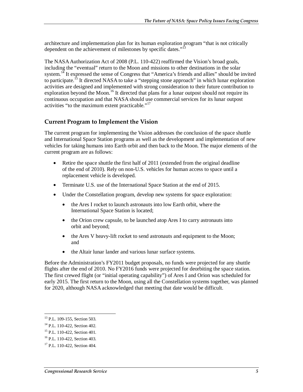architecture and implementation plan for its human exploration program "that is not critically dependent on the achievement of milestones by specific dates."<sup>13</sup>

The NASA Authorization Act of 2008 (P.L. 110-422) reaffirmed the Vision's broad goals, including the "eventual" return to the Moon and missions to other destinations in the solar system.<sup>14</sup> It expressed the sense of Congress that "America's friends and allies" should be invited to participate.<sup>15</sup> It directed NASA to take a "stepping stone approach" in which lunar exploration activities are designed and implemented with strong consideration to their future contribution to exploration beyond the Moon.<sup>16</sup> It directed that plans for a lunar outpost should not require its continuous occupation and that NASA should use commercial services for its lunar outpost activities "to the maximum extent practicable."<sup>17</sup>

#### **Current Program to Implement the Vision**

The current program for implementing the Vision addresses the conclusion of the space shuttle and International Space Station programs as well as the development and implementation of new vehicles for taking humans into Earth orbit and then back to the Moon. The major elements of the current program are as follows:

- Retire the space shuttle the first half of 2011 (extended from the original deadline of the end of 2010). Rely on non-U.S. vehicles for human access to space until a replacement vehicle is developed.
- Terminate U.S. use of the International Space Station at the end of 2015.
- Under the Constellation program, develop new systems for space exploration:
	- the Ares I rocket to launch astronauts into low Earth orbit, where the International Space Station is located;
	- the Orion crew capsule, to be launched atop Ares I to carry astronauts into orbit and beyond;
	- the Ares V heavy-lift rocket to send astronauts and equipment to the Moon; and
	- the Altair lunar lander and various lunar surface systems.

Before the Administration's FY2011 budget proposals, no funds were projected for any shuttle flights after the end of 2010. No FY2016 funds were projected for deorbiting the space station. The first crewed flight (or "initial operating capability") of Ares I and Orion was scheduled for early 2015. The first return to the Moon, using all the Constellation systems together, was planned for 2020, although NASA acknowledged that meeting that date would be difficult.

 $\frac{1}{1}$ 

<sup>&</sup>lt;sup>13</sup> P.L. 109-155, Section 503.

<sup>&</sup>lt;sup>14</sup> P.L. 110-422, Section 402.

<sup>15</sup> P.L. 110-422, Section 401.

<sup>16</sup> P.L. 110-422, Section 403.

<sup>&</sup>lt;sup>17</sup> P.L. 110-422, Section 404.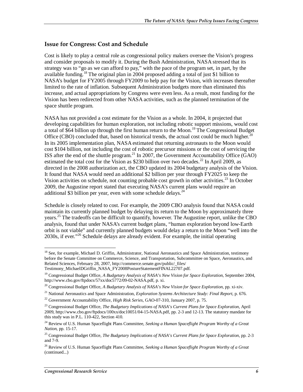#### **Issue for Congress: Cost and Schedule**

Cost is likely to play a central role as congressional policy makers oversee the Vision's progress and consider proposals to modify it. During the Bush Administration, NASA stressed that its strategy was to "go as we can afford to pay," with the pace of the program set, in part, by the available funding.18 The original plan in 2004 proposed adding a total of just \$1 billion to NASA's budget for FY2005 through FY2009 to help pay for the Vision, with increases thereafter limited to the rate of inflation. Subsequent Administration budgets more than eliminated this increase, and actual appropriations by Congress were even less. As a result, most funding for the Vision has been redirected from other NASA activities, such as the planned termination of the space shuttle program.

NASA has not provided a cost estimate for the Vision as a whole. In 2004, it projected that developing capabilities for human exploration, not including robotic support missions, would cost a total of \$64 billion up through the first human return to the Moon.<sup>19</sup> The Congressional Budget Office (CBO) concluded that, based on historical trends, the actual cost could be much higher.<sup>20</sup> In its 2005 implementation plan, NASA estimated that returning astronauts to the Moon would cost \$104 billion, not including the cost of robotic precursor missions or the cost of servicing the ISS after the end of the shuttle program.<sup>21</sup> In 2007, the Government Accountability Office (GAO) estimated the total cost for the Vision as \$230 billion over two decades.<sup>22</sup> In April 2009, as directed in the 2008 authorization act, the CBO updated its 2004 budgetary analysis of the Vision. It found that NASA would need an additional \$2 billion per year through FY2025 to keep the Vision activities on schedule, not counting probable cost growth in other activities.<sup>23</sup> In October 2009, the Augustine report stated that executing NASA's current plans would require an additional \$3 billion per year, even with some schedule delays.<sup>24</sup>

Schedule is closely related to cost. For example, the 2009 CBO analysis found that NASA could maintain its currently planned budget by delaying its return to the Moon by approximately three years.<sup>25</sup> The tradeoffs can be difficult to quantify, however. The Augustine report, unlike the CBO analysis, found that under NASA's current budget plans, "human exploration beyond low-Earth orbit is not viable" and currently planned budgets would delay a return to the Moon "well into the 2030s, if ever."<sup>26</sup> Schedule delays are already evident. For example, the initial operating

<sup>&</sup>lt;u>.</u> <sup>18</sup> See, for example, Michael D. Griffin, Administrator, National Aeronautics and Space Administration, testimony before the Senate Committee on Commerce, Science, and Transportation, Subcommittee on Space, Aeronautics, and Related Sciences, February 28, 2007, http://commerce.senate.gov/public/\_files/ Testimony\_MichaelDGriffin\_NASA\_FY2008PostureStatementFINAL22707.pdf.

<sup>&</sup>lt;sup>19</sup> Congressional Budget Office, *A Budgetary Analysis of NASA's New Vision for Space Exploration*, September 2004, http://www.cbo.gov/ftpdocs/57xx/doc5772/09-02-NASA.pdf, p. xi.

<sup>20</sup> Congressional Budget Office, *A Budgetary Analysis of NASA's New Vision for Space Exploration*, pp. xi-xiv.

<sup>&</sup>lt;sup>21</sup> National Aeronautics and Space Administration, *Exploration Systems Architecture Study: Final Report*, p. 676.<br><sup>22</sup> Government Accountability Office, *High Risk Series*, GAO-07-310, January 2007, p. 75.

<sup>23</sup> Congressional Budget Office, *The Budgetary Implications of NASA's Current Plans for Space Exploration*, April 2009, http://www.cbo.gov/ftpdocs/100xx/doc10051/04-15-NASA.pdf, pp. 2-3 and 12-13. The statutory mandate for this study was in P.L.  $110-422$ , Section 410.

<sup>24</sup> Review of U.S. Human Spaceflight Plans Committee, *Seeking a Human Spaceflight Program Worthy of a Great Nation*, pp. 15-17.

<sup>25</sup> Congressional Budget Office, *The Budgetary Implications of NASA's Current Plans for Space Exploration*, pp. 2-3 and 7-9.

<sup>26</sup> Review of U.S. Human Spaceflight Plans Committee, *Seeking a Human Spaceflight Program Worthy of a Great*  (continued...)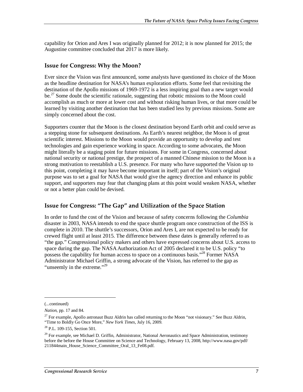capability for Orion and Ares I was originally planned for 2012; it is now planned for 2015; the Augustine committee concluded that 2017 is more likely.

#### **Issue for Congress: Why the Moon?**

Ever since the Vision was first announced, some analysts have questioned its choice of the Moon as the headline destination for NASA's human exploration efforts. Some feel that revisiting the destination of the Apollo missions of 1969-1972 is a less inspiring goal than a new target would be.<sup>27</sup> Some doubt the scientific rationale, suggesting that robotic missions to the Moon could accomplish as much or more at lower cost and without risking human lives, or that more could be learned by visiting another destination that has been studied less by previous missions. Some are simply concerned about the cost.

Supporters counter that the Moon is the closest destination beyond Earth orbit and could serve as a stepping stone for subsequent destinations. As Earth's nearest neighbor, the Moon is of great scientific interest. Missions to the Moon would provide an opportunity to develop and test technologies and gain experience working in space. According to some advocates, the Moon might literally be a staging point for future missions. For some in Congress, concerned about national security or national prestige, the prospect of a manned Chinese mission to the Moon is a strong motivation to reestablish a U.S. presence. For many who have supported the Vision up to this point, completing it may have become important in itself; part of the Vision's original purpose was to set a goal for NASA that would give the agency direction and enhance its public support, and supporters may fear that changing plans at this point would weaken NASA, whether or not a better plan could be devised.

#### **Issue for Congress: "The Gap" and Utilization of the Space Station**

In order to fund the cost of the Vision and because of safety concerns following the *Columbia* disaster in 2003, NASA intends to end the space shuttle program once construction of the ISS is complete in 2010. The shuttle's successors, Orion and Ares I, are not expected to be ready for crewed flight until at least 2015. The difference between these dates is generally referred to as "the gap." Congressional policy makers and others have expressed concerns about U.S. access to space during the gap. The NASA Authorization Act of 2005 declared it to be U.S. policy "to possess the capability for human access to space on a continuous basis."28 Former NASA Administrator Michael Griffin, a strong advocate of the Vision, has referred to the gap as "unseemly in the extreme."<sup>29</sup>

1

<sup>(...</sup>continued)

*Nation*, pp. 17 and 84.

 $27$  For example, Apollo astronaut Buzz Aldrin has called returning to the Moon "not visionary." See Buzz Aldrin, "Time to Boldly Go Once More," *New York Times*, July 16, 2009.

<sup>28</sup> P.L. 109-155, Section 501.

<sup>&</sup>lt;sup>29</sup> For example, see Michael D. Griffin, Administrator, National Aeronautics and Space Administration, testimony before the before the House Committee on Science and Technology, February 13, 2008, http://www.nasa.gov/pdf/ 211844main\_House\_Science\_Committee\_Oral\_13\_Fe08.pdf.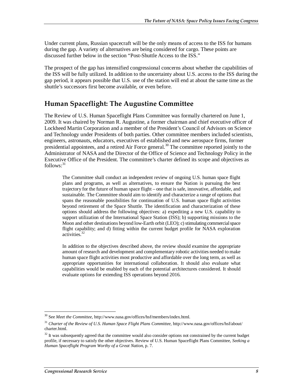Under current plans, Russian spacecraft will be the only means of access to the ISS for humans during the gap. A variety of alternatives are being considered for cargo. These points are discussed further below in the section "Post-Shuttle Access to the ISS."

The prospect of the gap has intensified congressional concerns about whether the capabilities of the ISS will be fully utilized. In addition to the uncertainty about U.S. access to the ISS during the gap period, it appears possible that U.S. use of the station will end at about the same time as the shuttle's successors first become available, or even before.

### **Human Spaceflight: The Augustine Committee**

The Review of U.S. Human Spaceflight Plans Committee was formally chartered on June 1, 2009. It was chaired by Norman R. Augustine, a former chairman and chief executive officer of Lockheed Martin Corporation and a member of the President's Council of Advisors on Science and Technology under Presidents of both parties. Other committee members included scientists, engineers, astronauts, educators, executives of established and new aerospace firms, former presidential appointees, and a retired Air Force general.<sup>30</sup> The committee reported jointly to the Administrator of NASA and the Director of the Office of Science and Technology Policy in the Executive Office of the President. The committee's charter defined its scope and objectives as  $follows: <sup>31</sup>$ 

The Committee shall conduct an independent review of ongoing U.S. human space flight plans and programs, as well as alternatives, to ensure the Nation is pursuing the best trajectory for the future of human space flight – one that is safe, innovative, affordable, and sustainable. The Committee should aim to identify and characterize a range of options that spans the reasonable possibilities for continuation of U.S. human space flight activities beyond retirement of the Space Shuttle. The identification and characterization of these options should address the following objectives: a) expediting a new U.S. capability to support utilization of the International Space Station (ISS); b) supporting missions to the Moon and other destinations beyond low-Earth orbit (LEO); c) stimulating commercial space flight capability; and d) fitting within the current budget profile for NASA exploration activities.<sup>32</sup>

In addition to the objectives described above, the review should examine the appropriate amount of research and development and complementary robotic activities needed to make human space flight activities most productive and affordable over the long term, as well as appropriate opportunities for international collaboration. It should also evaluate what capabilities would be enabled by each of the potential architectures considered. It should evaluate options for extending ISS operations beyond 2016.

<sup>-</sup>30 See *Meet the Committee*, http://www.nasa.gov/offices/hsf/members/index.html.

<sup>&</sup>lt;sup>31</sup> Charter of the Review of U.S. Human Space Flight Plans Committee, http://www.nasa.gov/offices/hsf/about/ charter.html.

<sup>&</sup>lt;sup>32</sup> It was subsequently agreed that the committee would also consider options not constrained by the current budget profile, if necessary to satisfy the other objectives. Review of U.S. Human Spaceflight Plans Committee, *Seeking a Human Spaceflight Program Worthy of a Great Nation*, p. 7.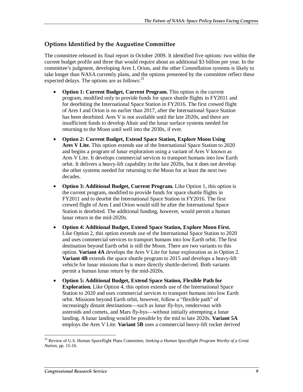#### **Options Identified by the Augustine Committee**

The committee released its final report in October 2009. It identified five options: two within the current budget profile and three that would require about an additional \$3 billion per year. In the committee's judgment, developing Ares I, Orion, and the other Constellation systems is likely to take longer than NASA currently plans, and the options presented by the committee reflect these expected delays. The options are as follows:<sup>33</sup>

- **Option 1: Current Budget, Current Program.** This option is the current program, modified only to provide funds for space shuttle flights in FY2011 and for deorbiting the International Space Station in FY2016. The first crewed flight of Ares I and Orion is no earlier than 2017, after the International Space Station has been deorbited. Ares V is not available until the late 2020s, and there are insufficient funds to develop Altair and the lunar surface systems needed for returning to the Moon until well into the 2030s, if ever.
- **Option 2: Current Budget, Extend Space Station, Explore Moon Using Ares V Lite.** This option extends use of the International Space Station to 2020 and begins a program of lunar exploration using a variant of Ares V known as Ares V Lite. It develops commercial services to transport humans into low Earth orbit. It delivers a heavy-lift capability in the late 2020s, but it does not develop the other systems needed for returning to the Moon for at least the next two decades.
- **Option 3: Additional Budget, Current Program.** Like Option 1, this option is the current program, modified to provide funds for space shuttle flights in FY2011 and to deorbit the International Space Station in FY2016. The first crewed flight of Ares I and Orion would still be after the International Space Station is deorbited. The additional funding, however, would permit a human lunar return in the mid-2020s.
- **Option 4: Additional Budget, Extend Space Station, Explore Moon First.** Like Option 2, this option extends use of the International Space Station to 2020 and uses commercial services to transport humans into low Earth orbit. The first destination beyond Earth orbit is still the Moon. There are two variants to this option. **Variant 4A** develops the Ares V Lite for lunar exploration as in Option 2. **Variant 4B** extends the space shuttle program to 2015 and develops a heavy-lift vehicle for lunar missions that is more directly shuttle-derived. Both variants permit a human lunar return by the mid-2020s.
- **Option 5: Additional Budget, Extend Space Station, Flexible Path for Exploration.** Like Option 4, this option extends use of the International Space Station to 2020 and uses commercial services to transport humans into low Earth orbit. Missions beyond Earth orbit, however, follow a "flexible path" of increasingly distant destinations—such as lunar fly-bys, rendezvous with asteroids and comets, and Mars fly-bys—without initially attempting a lunar landing. A lunar landing would be possible by the mid to late 2020s. **Variant 5A** employs the Ares V Lite. **Variant 5B** uses a commercial heavy-lift rocket derived

<sup>33</sup> Review of U.S. Human Spaceflight Plans Committee, *Seeking a Human Spaceflight Program Worthy of a Great Nation*, pp. 15-16.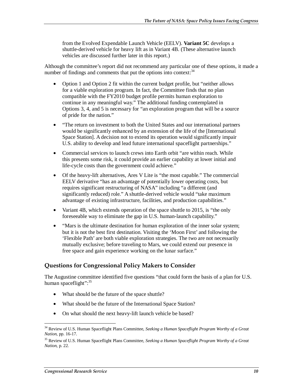from the Evolved Expendable Launch Vehicle (EELV). **Variant 5C** develops a shuttle-derived vehicle for heavy lift as in Variant 4B. (These alternative launch vehicles are discussed further later in this report.)

Although the committee's report did not recommend any particular one of these options, it made a number of findings and comments that put the options into context: $34$ 

- Option 1 and Option 2 fit within the current budget profile, but "neither allows" for a viable exploration program. In fact, the Committee finds that no plan compatible with the FY2010 budget profile permits human exploration to continue in any meaningful way." The additional funding contemplated in Options 3, 4, and 5 is necessary for "an exploration program that will be a source of pride for the nation."
- "The return on investment to both the United States and our international partners would be significantly enhanced by an extension of the life of the [International Space Station]. A decision not to extend its operation would significantly impair U.S. ability to develop and lead future international spaceflight partnerships."
- Commercial services to launch crews into Earth orbit "are within reach. While this presents some risk, it could provide an earlier capability at lower initial and life-cycle costs than the government could achieve."
- Of the heavy-lift alternatives, Ares V Lite is "the most capable." The commercial EELV derivative "has an advantage of potentially lower operating costs, but requires significant restructuring of NASA" including "a different (and significantly reduced) role." A shuttle-derived vehicle would "take maximum advantage of existing infrastructure, facilities, and production capabilities."
- Variant 4B, which extends operation of the space shuttle to 2015, is "the only foreseeable way to eliminate the gap in U.S. human-launch capability."
- "Mars is the ultimate destination for human exploration of the inner solar system; but it is not the best first destination. Visiting the 'Moon First' and following the 'Flexible Path' are both viable exploration strategies. The two are not necessarily mutually exclusive; before traveling to Mars, we could extend our presence in free space and gain experience working on the lunar surface."

#### **Questions for Congressional Policy Makers to Consider**

The Augustine committee identified five questions "that could form the basis of a plan for U.S. human spaceflight":<sup>35</sup>

- What should be the future of the space shuttle?
- What should be the future of the International Space Station?
- On what should the next heavy-lift launch vehicle be based?

<sup>34</sup> Review of U.S. Human Spaceflight Plans Committee, *Seeking a Human Spaceflight Program Worthy of a Great Nation*, pp. 16-17.

<sup>35</sup> Review of U.S. Human Spaceflight Plans Committee, *Seeking a Human Spaceflight Program Worthy of a Great Nation*, p. 22.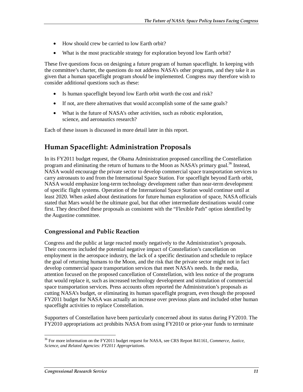- How should crew be carried to low Earth orbit?
- What is the most practicable strategy for exploration beyond low Earth orbit?

These five questions focus on designing a future program of human spaceflight. In keeping with the committee's charter, the questions do not address NASA's other programs, and they take it as given that a human spaceflight program *should* be implemented. Congress may therefore wish to consider additional questions such as these:

- Is human spaceflight beyond low Earth orbit worth the cost and risk?
- If not, are there alternatives that would accomplish some of the same goals?
- What is the future of NASA's other activities, such as robotic exploration, science, and aeronautics research?

Each of these issues is discussed in more detail later in this report.

## **Human Spaceflight: Administration Proposals**

In its FY2011 budget request, the Obama Administration proposed cancelling the Constellation program and eliminating the return of humans to the Moon as NASA's primary goal.<sup>36</sup> Instead, NASA would encourage the private sector to develop commercial space transportation services to carry astronauts to and from the International Space Station. For spaceflight beyond Earth orbit, NASA would emphasize long-term technology development rather than near-term development of specific flight systems. Operation of the International Space Station would continue until at least 2020. When asked about destinations for future human exploration of space, NASA officials stated that Mars would be the ultimate goal, but that other intermediate destinations would come first. They described these proposals as consistent with the "Flexible Path" option identified by the Augustine committee.

#### **Congressional and Public Reaction**

Congress and the public at large reacted mostly negatively to the Administration's proposals. Their concerns included the potential negative impact of Constellation's cancellation on employment in the aerospace industry, the lack of a specific destination and schedule to replace the goal of returning humans to the Moon, and the risk that the private sector might not in fact develop commercial space transportation services that meet NASA's needs. In the media, attention focused on the proposed cancellation of Constellation, with less notice of the programs that would replace it, such as increased technology development and stimulation of commercial space transportation services. Press accounts often reported the Administration's proposals as cutting NASA's budget, or eliminating its human spaceflight program, even though the proposed FY2011 budget for NASA was actually an increase over previous plans and included other human spaceflight activities to replace Constellation.

Supporters of Constellation have been particularly concerned about its status during FY2010. The FY2010 appropriations act prohibits NASA from using FY2010 or prior-year funds to terminate

<sup>36</sup> For more information on the FY2011 budget request for NASA, see CRS Report R41161, *Commerce, Justice, Science, and Related Agencies: FY2011 Appropriations*.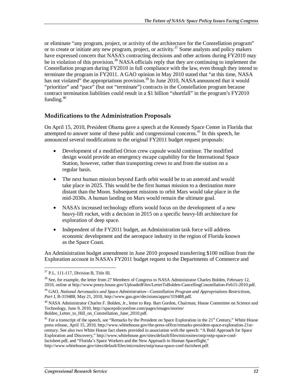or eliminate "any program, project, or activity of the architecture for the Constellation program" or to create or initiate any new program, project, or activity.37 Some analysts and policy makers have expressed concern that NASA's contracting decisions and other actions during FY2010 may be in violation of this provision.<sup>38</sup> NASA officials reply that they are continuing to implement the Constellation program during FY2010 in full compliance with the law, even though they intend to terminate the program in FY2011. A GAO opinion in May 2010 stated that "at this time, NASA has not violated" the appropriations provision.<sup>39</sup> In June 2010, NASA announced that it would "prioritize" and "pace" (but not "terminate") contracts in the Constellation program because contract termination liabilities could result in a \$1 billion "shortfall" in the program's FY2010 funding.<sup>40</sup>

#### **Modifications to the Administration Proposals**

On April 15, 2010, President Obama gave a speech at the Kennedy Space Center in Florida that attempted to answer some of these public and congressional concerns.<sup>41</sup> In this speech, he announced several modifications to the original FY2011 budget request proposals:

- Development of a modified Orion crew capsule would continue. The modified design would provide an emergency escape capability for the International Space Station, however, rather than transporting crews to and from the station on a regular basis.
- The next human mission beyond Earth orbit would be to an asteroid and would take place in 2025. This would be the first human mission to a destination more distant than the Moon. Subsequent missions to orbit Mars would take place in the mid-2030s. A human landing on Mars would remain the ultimate goal.
- NASA's increased technology efforts would focus on the development of a new heavy-lift rocket, with a decision in 2015 on a specific heavy-lift architecture for exploration of deep space.
- Independent of the FY2011 budget, an Administration task force will address economic development and the aerospace industry in the region of Florida known as the Space Coast.

An Administration budget amendment in June 2010 proposed transferring \$100 million from the Exploration account in NASA's FY2011 budget request to the Departments of Commerce and

<sup>&</sup>lt;u>.</u> 37 P.L. 111-117, Division B, Title III.

<sup>&</sup>lt;sup>38</sup> See, for example, the letter from 27 Members of Congress to NASA Administrator Charles Bolden, February 12, 2010, online at http://www.posey.house.gov/UploadedFiles/LetterToBolden-CancellingConstellation-Feb15-2010.pdf.

<sup>39</sup> GAO, *National Aeronautics and Space Administration—Constellation Program and Appropriations Restrictions, Part I*, B-319488, May 21, 2010, http://www.gao.gov/decisions/appro/319488.pdf.

<sup>&</sup>lt;sup>40</sup> NASA Administrator Charles F. Bolden, Jr., letter to Rep. Bart Gordon, Chairman, House Committee on Science and Technology, June 9, 2010, http://spacepolicyonline.com/pages/images/stories/ Bolden\_Letter\_to\_Hill\_on\_Constellation\_June\_2010.pdf.

<sup>&</sup>lt;sup>41</sup> For a transcript of the speech, see "Remarks by the President on Space Exploration in the  $21<sup>st</sup>$  Century," White House press release, April 15, 2010, http://www.whitehouse.gov/the-press-office/remarks-president-space-exploration-21stcentury. See also two White House fact sheets provided in association with the speech: "A Bold Approach for Space Exploration and Discovery," http://www.whitehouse.gov/sites/default/files/microsites/ostp/ostp-space-conffactsheet.pdf, and "Florida's Space Workers and the New Approach to Human Spaceflight,"

http://www.whitehouse.gov/sites/default/files/microsites/ostp/nasa-space-conf-factsheet.pdf.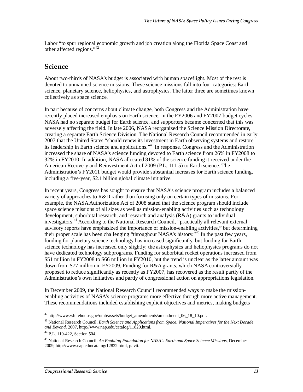Labor "to spur regional economic growth and job creation along the Florida Space Coast and other affected regions."42

#### **Science**

About two-thirds of NASA's budget is associated with human spaceflight. Most of the rest is devoted to unmanned science missions. These science missions fall into four categories: Earth science, planetary science, heliophysics, and astrophysics. The latter three are sometimes known collectively as space science.

In part because of concerns about climate change, both Congress and the Administration have recently placed increased emphasis on Earth science. In the FY2006 and FY2007 budget cycles NASA had no separate budget for Earth science, and supporters became concerned that this was adversely affecting the field. In late 2006, NASA reorganized the Science Mission Directorate, creating a separate Earth Science Division. The National Research Council recommended in early 2007 that the United States "should renew its investment in Earth observing systems and restore its leadership in Earth science and applications."43 In response, Congress and the Administration increased the share of NASA's science funding devoted to Earth science from 26% in FY2008 to 32% in FY2010. In addition, NASA allocated 81% of the science funding it received under the American Recovery and Reinvestment Act of 2009 (P.L. 111-5) to Earth science. The Administration's FY2011 budget would provide substantial increases for Earth science funding, including a five-year, \$2.1 billion global climate initiative.

In recent years, Congress has sought to ensure that NASA's science program includes a balanced variety of approaches to R&D rather than focusing only on certain types of missions. For example, the NASA Authorization Act of 2008 stated that the science program should include space science missions of all sizes as well as mission-enabling activities such as technology development, suborbital research, and research and analysis (R&A) grants to individual investigators.44 According to the National Research Council, "practically all relevant external advisory reports have emphasized the importance of mission-enabling activities," but determining their proper scale has been challenging "throughout NASA's history."<sup>45</sup> In the past few years, funding for planetary science technology has increased significantly, but funding for Earth science technology has increased only slightly; the astrophysics and heliophysics programs do not have dedicated technology subprograms. Funding for suborbital rocket operations increased from \$51 million in FY2008 to \$66 million in FY2010, but the trend is unclear as the latter amount was down from \$77 million in FY2009. Funding for R&A grants, which NASA controversially proposed to reduce significantly as recently as FY2007, has recovered as the result partly of the Administration's own initiatives and partly of congressional action on appropriations legislation.

In December 2009, the National Research Council recommended ways to make the missionenabling activities of NASA's science programs more effective through more active management. These recommendations included establishing explicit objectives and metrics, making budgets

<sup>-</sup> $42$  http://www.whitehouse.gov/omb/assets/budget\_amendments/amendment\_06\_18\_10.pdf.

<sup>43</sup> National Research Council, *Earth Science and Applications from Space: National Imperatives for the Next Decade and Beyond*, 2007, http://www.nap.edu/catalog/11820.html.

<sup>44</sup> P.L. 110-422, Section 504.

<sup>45</sup> National Research Council, *An Enabling Foundation for NASA's Earth and Space Science Missions*, December 2009, http://www.nap.edu/catalog/12822.html, p. vii.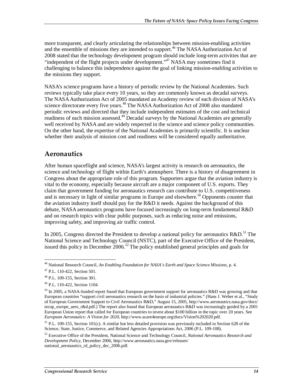more transparent, and clearly articulating the relationships between mission-enabling activities and the ensemble of missions they are intended to support.<sup>46</sup> The NASA Authorization Act of 2008 stated that the technology development program should include long-term activities that are "independent of the flight projects under development."<sup>47</sup> NASA may sometimes find it challenging to balance this independence against the goal of linking mission-enabling activities to the missions they support.

NASA's science programs have a history of periodic review by the National Academies. Such reviews typically take place every 10 years, so they are commonly known as decadal surveys. The NASA Authorization Act of 2005 mandated an Academy review of each division of NASA's science directorate every five years.<sup>48</sup> The NASA Authorization Act of 2008 also mandated periodic reviews and directed that they include independent estimates of the cost and technical readiness of each mission assessed.<sup>49</sup> Decadal surveys by the National Academies are generally well received by NASA and are widely respected in the science and science policy communities. On the other hand, the expertise of the National Academies is primarily scientific. It is unclear whether their analysis of mission cost and readiness will be considered equally authoritative.

### **Aeronautics**

After human spaceflight and science, NASA's largest activity is research on aeronautics, the science and technology of flight within Earth's atmosphere. There is a history of disagreement in Congress about the appropriate role of this program. Supporters argue that the aviation industry is vital to the economy, especially because aircraft are a major component of U.S. exports. They claim that government funding for aeronautics research can contribute to U.S. competitiveness and is necessary in light of similar programs in Europe and elsewhere.<sup>50</sup> Opponents counter that the aviation industry itself should pay for the R&D it needs. Against the background of this debate, NASA aeronautics programs have focused increasingly on long-term fundamental R&D and on research topics with clear public purposes, such as reducing noise and emissions, improving safety, and improving air traffic control.

In 2005, Congress directed the President to develop a national policy for aeronautics  $R&D$ .<sup>51</sup> The National Science and Technology Council (NSTC), part of the Executive Office of the President, issued this policy in December  $2006$ <sup>52</sup>. The policy established general principles and goals for

<sup>-</sup>46 National Research Council, *An Enabling Foundation for NASA's Earth and Space Science Missions*, p. 4.

<sup>47</sup> P.L. 110-422, Section 501.

<sup>48</sup> P.L. 109-155, Section 301.

<sup>49</sup> P.L. 110-422, Section 1104.

<sup>&</sup>lt;sup>50</sup> In 2005, a NASA-funded report found that European government support for aeronautics R&D was growing and that European countries "support civil aeronautics research on the basis of industrial policies." (Hans J. Weber et al., "Study of European Government Support to Civil Aeronautics R&D," August 15, 2005, http://www.aeronautics.nasa.gov/docs/ tecop\_europe\_aero\_r&d.pdf.) The report also found that European aeronautics R&D was increasingly guided by a 2001 European Union report that called for European countries to invest about \$100 billion in the topic over 20 years. See *European Aeronautics: A Vision for 2020*, http://www.acare4europe.org/docs/Vision%202020.pdf.

 $<sup>51</sup>$  P.L. 109-155, Section 101(c). A similar but less detailed provision was previously included in Section 628 of the</sup> Science, State, Justice, Commerce, and Related Agencies Appropriations Act, 2006 (P.L. 109-108).

<sup>52</sup> Executive Office of the President, National Science and Technology Council, *National Aeronautics Research and Development Policy*, December 2006, http://www.aeronautics.nasa.gov/releases/ national\_aeronautics\_rd\_policy\_dec\_2006.pdf.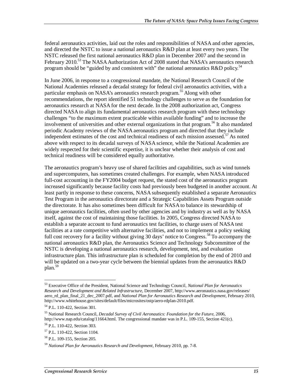federal aeronautics activities, laid out the roles and responsibilities of NASA and other agencies, and directed the NSTC to issue a national aeronautics R&D plan at least every two years. The NSTC released the first national aeronautics R&D plan in December 2007 and the second in February 2010.<sup>53</sup> The NASA Authorization Act of 2008 stated that NASA's aeronautics research program should be "guided by and consistent with" the national aeronautics R&D policy.<sup>54</sup>

In June 2006, in response to a congressional mandate, the National Research Council of the National Academies released a decadal strategy for federal civil aeronautics activities, with a particular emphasis on NASA's aeronautics research program.<sup>55</sup> Along with other recommendations, the report identified 51 technology challenges to serve as the foundation for aeronautics research at NASA for the next decade. In the 2008 authorization act, Congress directed NASA to align its fundamental aeronautics research program with these technology challenges "to the maximum extent practicable within available funding" and to increase the involvement of universities and other external organizations in that program.<sup>56</sup> It also mandated periodic Academy reviews of the NASA aeronautics program and directed that they include independent estimates of the cost and technical readiness of each mission assessed.<sup>57</sup> As noted above with respect to its decadal surveys of NASA science, while the National Academies are widely respected for their scientific expertise, it is unclear whether their analysis of cost and technical readiness will be considered equally authoritative.

The aeronautics program's heavy use of shared facilities and capabilities, such as wind tunnels and supercomputers, has sometimes created challenges. For example, when NASA introduced full-cost accounting in the FY2004 budget request, the stated cost of the aeronautics program increased significantly because facility costs had previously been budgeted in another account. At least partly in response to these concerns, NASA subsequently established a separate Aeronautics Test Program in the aeronautics directorate and a Strategic Capabilities Assets Program outside the directorate. It has also sometimes been difficult for NASA to balance its stewardship of unique aeronautics facilities, often used by other agencies and by industry as well as by NASA itself, against the cost of maintaining those facilities. In 2005, Congress directed NASA to establish a separate account to fund aeronautics test facilities, to charge users of NASA test facilities at a rate competitive with alternative facilities, and not to implement a policy seeking full cost recovery for a facility without giving 30 days' notice to Congress.<sup>58</sup> To accompany the national aeronautics R&D plan, the Aeronautics Science and Technology Subcommittee of the NSTC is developing a national aeronautics research, development, test, and evaluation infrastructure plan. This infrastructure plan is scheduled for completion by the end of 2010 and will be updated on a two-year cycle between the biennial updates from the aeronautics R&D plan.<sup>59</sup>

<sup>53</sup> Executive Office of the President, National Science and Technology Council, *National Plan for Aeronautics Research and Development and Related Infrastructure*, December 2007, http://www.aeronautics.nasa.gov/releases/ aero\_rd\_plan\_final\_21\_dec\_2007.pdf, and *National Plan for Aeronautics Research and Development*, February 2010, http://www.whitehouse.gov/sites/default/files/microsites/ostp/aero-rdplan-2010.pdf.

<sup>54</sup> P.L. 110-422, Section 301.

<sup>55</sup> National Research Council, *Decadal Survey of Civil Aeronautics: Foundation for the Future*, 2006, http://www.nap.edu/catalog/11664.html. The congressional mandate was in P.L. 109-155, Section 421(c).

<sup>56</sup> P.L. 110-422, Section 303.

<sup>57</sup> P.L. 110-422, Section 1104.

<sup>58</sup> P.L. 109-155, Section 205.

<sup>59</sup> *National Plan for Aeronautics Research and Development*, February 2010, pp. 7-8.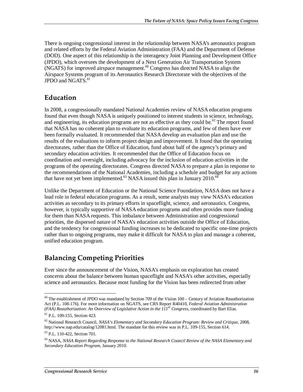There is ongoing congressional interest in the relationship between NASA's aeronautics program and related efforts by the Federal Aviation Administration (FAA) and the Department of Defense (DOD). One aspect of this relationship is the interagency Joint Planning and Development Office (JPDO), which oversees the development of a Next Generation Air Transportation System  $(NGATS)$  for improved airspace management.<sup>60</sup> Congress has directed NASA to align the Airspace Systems program of its Aeronautics Research Directorate with the objectives of the JPDO and NGATS. $61$ 

## **Education**

In 2008, a congressionally mandated National Academies review of NASA education programs found that even though NASA is uniquely positioned to interest students in science, technology, and engineering, its education programs are not as effective as they could be.<sup>62</sup> The report found that NASA has no coherent plan to evaluate its education programs, and few of them have ever been formally evaluated. It recommended that NASA develop an evaluation plan and use the results of the evaluations to inform project design and improvement. It found that the operating directorates, rather than the Office of Education, fund about half of the agency's primary and secondary education activities. It recommended that the Office of Education focus on coordination and oversight, including advocacy for the inclusion of education activities in the programs of the operating directorates. Congress directed NASA to prepare a plan in response to the recommendations of the National Academies, including a schedule and budget for any actions that have not yet been implemented.<sup>63</sup> NASA issued this plan in January 2010.<sup>64</sup>

Unlike the Department of Education or the National Science Foundation, NASA does not have a lead role in federal education programs. As a result, some analysts may view NASA's education activities as secondary to its primary efforts in spaceflight, science, and aeronautics. Congress, however, is typically supportive of NASA education programs and often provides more funding for them than NASA requests. This imbalance between Administration and congressional priorities, the dispersed nature of NASA's education activities outside the Office of Education, and the tendency for congressional funding increases to be dedicated to specific one-time projects rather than to ongoing programs, may make it difficult for NASA to plan and manage a coherent, unified education program.

### **Balancing Competing Priorities**

Ever since the announcement of the Vision, NASA's emphasis on exploration has created concerns about the balance between human spaceflight and NASA's other activities, especially science and aeronautics. Because most funding for the Vision has been redirected from other

 $60$  The establishment of JPDO was mandated by Section 709 of the Vision 100 – Century of Aviation Reauthorization Act (P.L. 108-176). For more information on NGATS, see CRS Report R40410, *Federal Aviation Administration*  (FAA) Reauthorization: An Overview of Legislative Action in the  $111^{th}$  Congress, coordinated by Bart Elias.

<sup>61</sup> P.L. 109-155, Section 423.

<sup>62</sup> National Research Council, *NASA's Elementary and Secondary Education Program: Review and Critique*, 2008, http://www.nap.edu/catalog/12081.html. The mandate for this review was in P.L. 109-155, Section 614.

<sup>63</sup> P.L. 110-422, Section 701.

<sup>64</sup> NASA, *NASA Report Regarding Response to the National Research Council Review of the NASA Elementary and Secondary Education Program*, January 2010.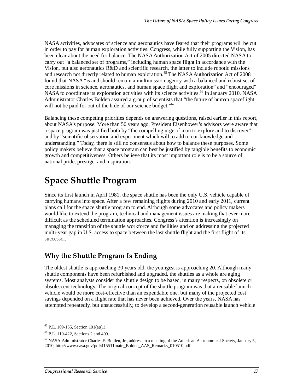NASA activities, advocates of science and aeronautics have feared that their programs will be cut in order to pay for human exploration activities. Congress, while fully supporting the Vision, has been clear about the need for balance. The NASA Authorization Act of 2005 directed NASA to carry out "a balanced set of programs," including human space flight in accordance with the Vision, but also aeronautics R&D and scientific research, the latter to include robotic missions and research not directly related to human exploration.<sup>65</sup> The NASA Authorization Act of 2008 found that NASA "is and should remain a multimission agency with a balanced and robust set of core missions in science, aeronautics, and human space flight and exploration" and "encouraged" NASA to coordinate its exploration activities with its science activities.<sup>66</sup> In January 2010, NASA Administrator Charles Bolden assured a group of scientists that "the future of human spaceflight will not be paid for out of the hide of our science budget."<sup>67</sup>

Balancing these competing priorities depends on answering questions, raised earlier in this report, about NASA's purpose. More than 50 years ago, President Eisenhower's advisors were aware that a space program was justified both by "the compelling urge of man to explore and to discover" and by "scientific observation and experiment which will to add to our knowledge and understanding." Today, there is still no consensus about how to balance these purposes. Some policy makers believe that a space program can best be justified by tangible benefits to economic growth and competitiveness. Others believe that its most important role is to be a source of national pride, prestige, and inspiration.

# **Space Shuttle Program**

Since its first launch in April 1981, the space shuttle has been the only U.S. vehicle capable of carrying humans into space. After a few remaining flights during 2010 and early 2011, current plans call for the space shuttle program to end. Although some advocates and policy makers would like to extend the program, technical and management issues are making that ever more difficult as the scheduled termination approaches. Congress's attention is increasingly on managing the transition of the shuttle workforce and facilities and on addressing the projected multi-year gap in U.S. access to space between the last shuttle flight and the first flight of its successor.

### **Why the Shuttle Program Is Ending**

The oldest shuttle is approaching 30 years old; the youngest is approaching 20. Although many shuttle components have been refurbished and upgraded, the shuttles as a whole are aging systems. Most analysts consider the shuttle design to be based, in many respects, on obsolete or obsolescent technology. The original concept of the shuttle program was that a reusable launch vehicle would be more cost-effective than an expendable one, but many of the projected cost savings depended on a flight rate that has never been achieved. Over the years, NASA has attempted repeatedly, but unsuccessfully, to develop a second-generation reusable launch vehicle

 $^{65}$  P.L. 109-155, Section 101(a)(1).

<sup>66</sup> P.L. 110-422, Sections 2 and 409.

<sup>&</sup>lt;sup>67</sup> NASA Administrator Charles F. Bolden, Jr., address to a meeting of the American Astronomical Society, January 5, 2010, http://www.nasa.gov/pdf/415511main\_Bolden\_AAS\_Remarks\_010510.pdf.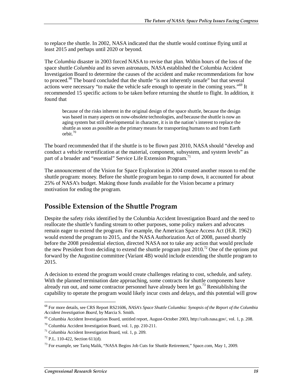to replace the shuttle. In 2002, NASA indicated that the shuttle would continue flying until at least 2015 and perhaps until 2020 or beyond.

The *Columbia* disaster in 2003 forced NASA to revise that plan. Within hours of the loss of the space shuttle *Columbia* and its seven astronauts, NASA established the Columbia Accident Investigation Board to determine the causes of the accident and make recommendations for how to proceed.<sup>68</sup> The board concluded that the shuttle "is not inherently unsafe" but that several actions were necessary "to make the vehicle safe enough to operate in the coming years."<sup>69</sup> It recommended 15 specific actions to be taken before returning the shuttle to flight. In addition, it found that

because of the risks inherent in the original design of the space shuttle, because the design was based in many aspects on now-obsolete technologies, and because the shuttle is now an aging system but still developmental in character, it is in the nation's interest to replace the shuttle as soon as possible as the primary means for transporting humans to and from Earth orbit.70

The board recommended that if the shuttle is to be flown past 2010, NASA should "develop and conduct a vehicle recertification at the material, component, subsystem, and system levels" as part of a broader and "essential" Service Life Extension Program.<sup>71</sup>

The announcement of the Vision for Space Exploration in 2004 created another reason to end the shuttle program: money. Before the shuttle program began to ramp down, it accounted for about 25% of NASA's budget. Making those funds available for the Vision became a primary motivation for ending the program.

### **Possible Extension of the Shuttle Program**

Despite the safety risks identified by the Columbia Accident Investigation Board and the need to reallocate the shuttle's funding stream to other purposes, some policy makers and advocates remain eager to extend the program. For example, the American Space Access Act (H.R. 1962) would extend the program to 2015, and the NASA Authorization Act of 2008, passed shortly before the 2008 presidential election, directed NASA not to take any action that would preclude the new President from deciding to extend the shuttle program past  $2010$ <sup>72</sup>. One of the options put forward by the Augustine committee (Variant 4B) would include extending the shuttle program to 2015.

A decision to extend the program would create challenges relating to cost, schedule, and safety. With the planned termination date approaching, some contracts for shuttle components have already run out, and some contractor personnel have already been let go.<sup>73</sup> Reestablishing the capability to operate the program would likely incur costs and delays, and this potential will grow

<u>.</u>

<sup>68</sup> For more details, see CRS Report RS21606, *NASA's Space Shuttle Columbia: Synopsis of the Report of the Columbia Accident Investigation Board*, by Marcia S. Smith. <sup>69</sup> Columbia Accident Investigation Board, untitled report, August-October 2003, http://caib.nasa.gov/, vol. 1, p. 208.

<sup>70</sup> Columbia Accident Investigation Board, vol. 1, pp. 210-211.

 $71$  Columbia Accident Investigation Board, vol. 1, p. 209.

 $72$  P.L. 110-422, Section 611(d).

<sup>&</sup>lt;sup>73</sup> For example, see Tariq Malik, "NASA Begins Job Cuts for Shuttle Retirement," Space.com, May 1, 2009.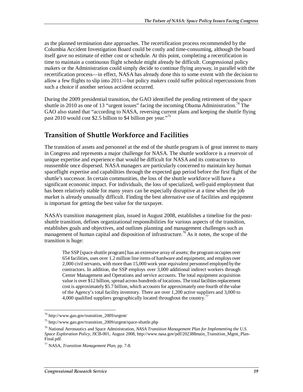as the planned termination date approaches. The recertification process recommended by the Columbia Accident Investigation Board could be costly and time-consuming, although the board itself gave no estimate of either cost or schedule. At this point, completing a recertification in time to maintain a continuous flight schedule might already be difficult. Congressional policy makers or the Administration could simply decide to continue flying anyway, in parallel with the recertification process—in effect, NASA has already done this to some extent with the decision to allow a few flights to slip into 2011—but policy makers could suffer political repercussions from such a choice if another serious accident occurred.

During the 2009 presidential transition, the GAO identified the pending retirement of the space shuttle in 2010 as one of 13 "urgent issues" facing the incoming Obama Administration.<sup>74</sup> The GAO also stated that "according to NASA, reversing current plans and keeping the shuttle flying past 2010 would cost \$2.5 billion to \$4 billion per year."<sup>75</sup>

### **Transition of Shuttle Workforce and Facilities**

The transition of assets and personnel at the end of the shuttle program is of great interest to many in Congress and represents a major challenge for NASA. The shuttle workforce is a reservoir of unique expertise and experience that would be difficult for NASA and its contractors to reassemble once dispersed. NASA managers are particularly concerned to maintain key human spaceflight expertise and capabilities through the expected gap period before the first flight of the shuttle's successor. In certain communities, the loss of the shuttle workforce will have a significant economic impact. For individuals, the loss of specialized, well-paid employment that has been relatively stable for many years can be especially disruptive at a time when the job market is already unusually difficult. Finding the best alternative use of facilities and equipment is important for getting the best value for the taxpayer.

NASA's transition management plan, issued in August 2008, establishes a timeline for the postshuttle transition, defines organizational responsibilities for various aspects of the transition, establishes goals and objectives, and outlines planning and management challenges such as management of human capital and disposition of infrastructure.<sup>76</sup> As it notes, the scope of the transition is huge:

The SSP [space shuttle program] has an extensive array of assets; the program occupies over 654 facilities, uses over 1.2 million line items of hardware and equipment, and employs over 2,000 civil servants, with more than 15,000 work year equivalent personnel employed by the contractors. In addition, the SSP employs over 3,000 additional indirect workers through Center Management and Operations and service accounts. The total equipment acquisition value is over \$12 billion, spread across hundreds of locations. The total facilities replacement cost is approximately \$5.7 billion, which accounts for approximately one-fourth of the value of the Agency's total facility inventory. There are over 1,200 active suppliers and 3,000 to 4,000 qualified suppliers geographically located throughout the country.<sup>77</sup>

 $^{74}$  http://www.gao.gov/transition\_2009/urgent/

<sup>74</sup> http://www.gao.gov/transition\_2009/urgent/ 75 http://www.gao.gov/transition\_2009/urgent/space-shuttle.php

<sup>76</sup> National Aeronautics and Space Administration, *NASA Transition Management Plan for Implementing the U.S. Space Exploration Policy*, JICB-001, August 2008, http://www.nasa.gov/pdf/202388main\_Transition\_Mgmt\_Plan-Final.pdf.

<sup>77</sup> NASA, *Transition Management Plan*, pp. 7-8.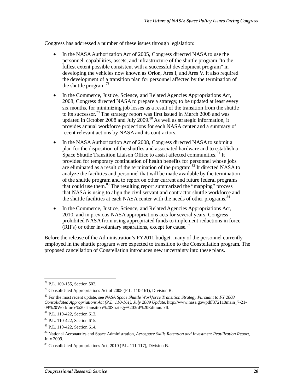Congress has addressed a number of these issues through legislation:

- In the NASA Authorization Act of 2005, Congress directed NASA to use the personnel, capabilities, assets, and infrastructure of the shuttle program "to the fullest extent possible consistent with a successful development program" in developing the vehicles now known as Orion, Ares I, and Ares V. It also required the development of a transition plan for personnel affected by the termination of the shuttle program.<sup>78</sup>
- In the Commerce, Justice, Science, and Related Agencies Appropriations Act, 2008, Congress directed NASA to prepare a strategy, to be updated at least every six months, for minimizing job losses as a result of the transition from the shuttle to its successor.79 The strategy report was first issued in March 2008 and was updated in October 2008 and July 2009.<sup>80</sup> As well as strategic information, it provides annual workforce projections for each NASA center and a summary of recent relevant actions by NASA and its contractors.
- In the NASA Authorization Act of 2008, Congress directed NASA to submit a plan for the disposition of the shuttles and associated hardware and to establish a Space Shuttle Transition Liaison Office to assist affected communities.<sup>81</sup> It provided for temporary continuation of health benefits for personnel whose jobs are eliminated as a result of the termination of the program.<sup>82</sup> It directed NASA to analyze the facilities and personnel that will be made available by the termination of the shuttle program and to report on other current and future federal programs that could use them.<sup>83</sup> The resulting report summarized the "mapping" process that NASA is using to align the civil servant and contractor shuttle workforce and the shuttle facilities at each NASA center with the needs of other programs.<sup>84</sup>
- In the Commerce, Justice, Science, and Related Agencies Appropriations Act, 2010, and in previous NASA appropriations acts for several years, Congress prohibited NASA from using appropriated funds to implement reductions in force (RIFs) or other involuntary separations, except for cause.<sup>85</sup>

Before the release of the Administration's FY2011 budget, many of the personnel currently employed in the shuttle program were expected to transition to the Constellation program. The proposed cancellation of Constellation introduces new uncertainty into these plans.

<sup>-</sup>78 P.L. 109-155, Section 502.

<sup>79</sup> Consolidated Appropriations Act of 2008 (P.L. 110-161), Division B.

<sup>80</sup> For the most recent update, see *NASA Space Shuttle Workforce Transition Strategy Pursuant to FY 2008 Consolidated Appropriations Act (P.L. 110-161), July 2009 Update*, http://www.nasa.gov/pdf/372110main\_7-21- 09%20Workforce%20Transition%20Strategy%203rd%20Edition.pdf.

<sup>81</sup> P.L. 110-422, Section 613.

<sup>82</sup> P.L. 110-422, Section 615.

<sup>83</sup> P.L. 110-422, Section 614.

<sup>84</sup> National Aeronautics and Space Administration, *Aerospace Skills Retention and Investment Reutilization Report*, July 2009.

<sup>85</sup> Consolidated Appropriations Act, 2010 (P.L. 111-117), Division B.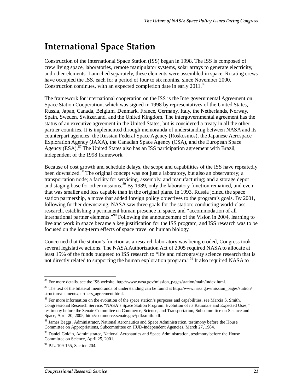# **International Space Station**

Construction of the International Space Station (ISS) began in 1998. The ISS is composed of crew living space, laboratories, remote manipulator systems, solar arrays to generate electricity, and other elements. Launched separately, these elements were assembled in space. Rotating crews have occupied the ISS, each for a period of four to six months, since November 2000. Construction continues, with an expected completion date in early 2011.<sup>86</sup>

The framework for international cooperation on the ISS is the Intergovernmental Agreement on Space Station Cooperation, which was signed in 1998 by representatives of the United States, Russia, Japan, Canada, Belgium, Denmark, France, Germany, Italy, the Netherlands, Norway, Spain, Sweden, Switzerland, and the United Kingdom. The intergovernmental agreement has the status of an executive agreement in the United States, but is considered a treaty in all the other partner countries. It is implemented through memoranda of understanding between NASA and its counterpart agencies: the Russian Federal Space Agency (Roskosmos), the Japanese Aerospace Exploration Agency (JAXA), the Canadian Space Agency (CSA), and the European Space Agency (ESA).<sup>87</sup> The United States also has an ISS participation agreement with Brazil, independent of the 1998 framework.

Because of cost growth and schedule delays, the scope and capabilities of the ISS have repeatedly been downsized.<sup>88</sup> The original concept was not just a laboratory, but also an observatory; a transportation node; a facility for servicing, assembly, and manufacturing; and a storage depot and staging base for other missions.<sup>89</sup> By 1989, only the laboratory function remained, and even that was smaller and less capable than in the original plans. In 1993, Russia joined the space station partnership, a move that added foreign policy objectives to the program's goals. By 2001, following further downsizing, NASA saw three goals for the station: conducting world-class research, establishing a permanent human presence in space, and "accommodation of all international partner elements."90 Following the announcement of the Vision in 2004, learning to live and work in space became a key justification for the ISS program, and ISS research was to be focused on the long-term effects of space travel on human biology.

Concerned that the station's function as a research laboratory was being eroded, Congress took several legislative actions. The NASA Authorization Act of 2005 required NASA to allocate at least 15% of the funds budgeted to ISS research to "life and microgravity science research that is not directly related to supporting the human exploration program.<sup>"91</sup> It also required NASA to

<sup>-</sup><sup>86</sup> For more details, see the ISS website, http://www.nasa.gov/mission\_pages/station/main/index.html.

<sup>&</sup>lt;sup>87</sup> The text of the bilateral memoranda of understanding can be found at http://www.nasa.gov/mission\_pages/station/ structure/elements/partners\_agreement.html.

<sup>&</sup>lt;sup>88</sup> For more information on the evolution of the space station's purposes and capabilities, see Marcia S. Smith, Congressional Research Service, "NASA's Space Station Program: Evolution of its Rationale and Expected Uses," testimony before the Senate Committee on Commerce, Science, and Transportation, Subcommittee on Science and Space, April 20, 2005, http://commerce.senate.gov/pdf/smith.pdf.

<sup>&</sup>lt;sup>89</sup> James Beggs, Administrator, National Aeronautics and Space Administration, testimony before the House Committee on Appropriations, Subcommittee on HUD-Independent Agencies, March 27, 1984.

<sup>&</sup>lt;sup>90</sup> Daniel Goldin, Administrator, National Aeronautics and Space Administration, testimony before the House Committee on Science, April 25, 2001.

 $91$  P.L. 109-155, Section 204.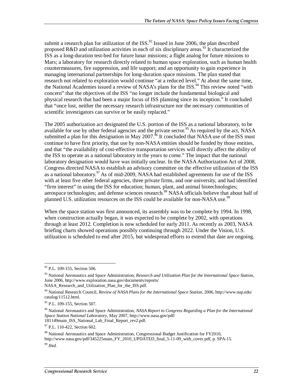submit a research plan for utilization of the ISS.<sup>92</sup> Issued in June 2006, the plan described proposed R&D and utilization activities in each of six disciplinary areas.<sup>93</sup> It characterized the ISS as a long-duration test-bed for future lunar missions; a flight analog for future missions to Mars; a laboratory for research directly related to human space exploration, such as human health countermeasures, fire suppression, and life support; and an opportunity to gain experience in managing international partnerships for long-duration space missions. The plan stated that research not related to exploration would continue "at a reduced level." At about the same time, the National Academies issued a review of NASA's plans for the ISS.<sup>94</sup> This review noted "with concern" that the objectives of the ISS "no longer include the fundamental biological and physical research that had been a major focus of ISS planning since its inception." It concluded that "once lost, neither the necessary research infrastructure nor the necessary communities of scientific investigators can survive or be easily replaced."

The 2005 authorization act designated the U.S. portion of the ISS as a national laboratory, to be available for use by other federal agencies and the private sector.<sup>95</sup> As required by the act, NASA submitted a plan for this designation in May 2007.<sup>96</sup> It concluded that NASA use of the ISS must continue to have first priority, that use by non-NASA entities should be funded by those entities, and that "the availability of cost-effective transportation services will directly affect the ability of the ISS to operate as a national laboratory in the years to come." The impact that the national laboratory designation would have was initially unclear. In the NASA Authorization Act of 2008, Congress directed NASA to establish an advisory committee on the effective utilization of the ISS as a national laboratory.<sup>97</sup> As of mid-2009, NASA had established agreements for use of the ISS with at least five other federal agencies, three private firms, and one university, and had identified "firm interest" in using the ISS for education; human, plant, and animal biotechnologies; aerospace technologies; and defense sciences research.<sup>98</sup> NASA officials believe that about half of planned U.S. utilization resources on the ISS could be available for non-NASA use.<sup>99</sup>

When the space station was first announced, its assembly was to be complete by 1994. In 1998, when construction actually began, it was expected to be complete by 2002, with operations through at least 2012. Completion is now scheduled for early 2011. As recently as 2003, NASA briefing charts showed operations possibly continuing through 2022. Under the Vision, U.S. utilization is scheduled to end after 2015, but widespread efforts to extend that date are ongoing.

<sup>-</sup><sup>92</sup> P.L. 109-155, Section 506.

<sup>93</sup> National Aeronautics and Space Administration, *Research and Utilization Plan for the International Space Station*, June 2006, http://www.exploration.nasa.gov/documents/reports/

NASA\_Research\_and\_Utilization\_Plan\_for\_the\_ISS.pdf.

<sup>94</sup> National Research Council, *Review of NASA Plans for the International Space Station*, 2006, http://www.nap.edu/ catalog/11512.html.

 $95$  P.L. 109-155, Section 507.

<sup>96</sup> National Aeronautics and Space Administration, *NASA Report to Congress Regarding a Plan for the International Space Station National Laboratory*, May 2007, http://www.nasa.gov/pdf/ 181149main\_ISS\_National\_Lab\_Final\_Report\_rev2.pdf.

<sup>97</sup> P.L. 110-422, Section 602.

<sup>&</sup>lt;sup>98</sup> National Aeronautics and Space Administration, Congressional Budget Justification for FY2010, http://www.nasa.gov/pdf/345225main\_FY\_2010\_UPDATED\_final\_5-11-09\_with\_cover.pdf, p. SPA-15.

<sup>99</sup> *Ibid.*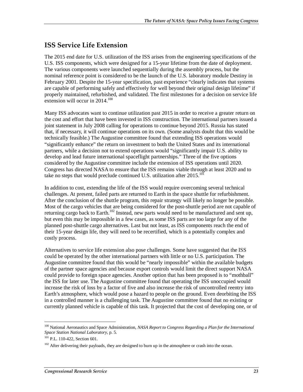### **ISS Service Life Extension**

The 2015 end date for U.S. utilization of the ISS arises from the engineering specifications of the U.S. ISS components, which were designed for a 15-year lifetime from the date of deployment. The various components were launched sequentially during the assembly process, but the nominal reference point is considered to be the launch of the U.S. laboratory module Destiny in February 2001. Despite the 15-year specification, past experience "clearly indicates that systems are capable of performing safely and effectively for well beyond their original design lifetime" if properly maintained, refurbished, and validated. The first milestones for a decision on service life extension will occur in 2014.<sup>100</sup>

Many ISS advocates want to continue utilization past 2015 in order to receive a greater return on the cost and effort that have been invested in ISS construction. The international partners issued a joint statement in July 2008 calling for operations to continue beyond 2015. Russia has stated that, if necessary, it will continue operations on its own. (Some analysts doubt that this would be technically feasible.) The Augustine committee found that extending ISS operations would "significantly enhance" the return on investment to both the United States and its international partners, while a decision not to extend operations would "significantly impair U.S. ability to develop and lead future international spaceflight partnerships." Three of the five options considered by the Augustine committee include the extension of ISS operations until 2020. Congress has directed NASA to ensure that the ISS remains viable through at least 2020 and to take no steps that would preclude continued U.S. utilization after  $2015$ .<sup>101</sup>

In addition to cost, extending the life of the ISS would require overcoming several technical challenges. At present, failed parts are returned to Earth in the space shuttle for refurbishment. After the conclusion of the shuttle program, this repair strategy will likely no longer be possible. Most of the cargo vehicles that are being considered for the post-shuttle period are not capable of returning cargo back to Earth.<sup>102</sup> Instead, new parts would need to be manufactured and sent up, but even this may be impossible in a few cases, as some ISS parts are too large for any of the planned post-shuttle cargo alternatives. Last but not least, as ISS components reach the end of their 15-year design life, they will need to be recertified, which is a potentially complex and costly process.

Alternatives to service life extension also pose challenges. Some have suggested that the ISS could be operated by the other international partners with little or no U.S. participation. The Augustine committee found that this would be "nearly impossible" within the available budgets of the partner space agencies and because export controls would limit the direct support NASA could provide to foreign space agencies. Another option that has been proposed is to "mothball" the ISS for later use. The Augustine committee found that operating the ISS unoccupied would increase the risk of loss by a factor of five and also increase the risk of uncontrolled reentry into Earth's atmosphere, which would pose a hazard to people on the ground. Even deorbiting the ISS in a controlled manner is a challenging task. The Augustine committee found that no existing or currently planned vehicle is capable of this task. It projected that the cost of developing one, or of

<sup>-</sup><sup>100</sup> National Aeronautics and Space Administration, *NASA Report to Congress Regarding a Plan for the International Space Station National Laboratory*, p. 5. 101 P.L. 110-422, Section 601.

<sup>&</sup>lt;sup>102</sup> After delivering their payloads, they are designed to burn up in the atmosphere or crash into the ocean.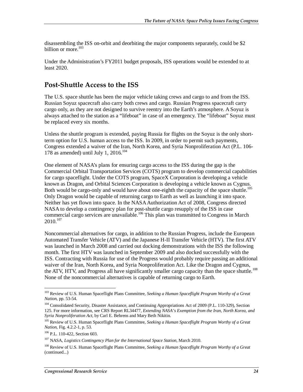disassembling the ISS on-orbit and deorbiting the major components separately, could be \$2 billion or more.<sup>103</sup>

Under the Administration's FY2011 budget proposals, ISS operations would be extended to at least 2020.

### **Post-Shuttle Access to the ISS**

The U.S. space shuttle has been the major vehicle taking crews and cargo to and from the ISS. Russian Soyuz spacecraft also carry both crews and cargo. Russian Progress spacecraft carry cargo only, as they are not designed to survive reentry into the Earth's atmosphere. A Soyuz is always attached to the station as a "lifeboat" in case of an emergency. The "lifeboat" Soyuz must be replaced every six months.

Unless the shuttle program is extended, paying Russia for flights on the Soyuz is the only shortterm option for U.S. human access to the ISS. In 2009, in order to permit such payments, Congress extended a waiver of the Iran, North Korea, and Syria Nonproliferation Act (P.L. 106- 178 as amended) until July 1, 2016. $104$ 

One element of NASA's plans for ensuring cargo access to the ISS during the gap is the Commercial Orbital Transportation Services (COTS) program to develop commercial capabilities for cargo spaceflight. Under the COTS program, SpaceX Corporation is developing a vehicle known as Dragon, and Orbital Sciences Corporation is developing a vehicle known as Cygnus. Both would be cargo-only and would have about one-eighth the capacity of the space shuttle.<sup>105</sup> Only Dragon would be capable of returning cargo to Earth as well as launching it into space. Neither has yet flown into space. In the NASA Authorization Act of 2008, Congress directed NASA to develop a contingency plan for post-shuttle cargo resupply of the ISS in case commercial cargo services are unavailable.<sup>106</sup> This plan was transmitted to Congress in March  $2010^{107}$ 

Noncommercial alternatives for cargo, in addition to the Russian Progress, include the European Automated Transfer Vehicle (ATV) and the Japanese H-II Transfer Vehicle (HTV). The first ATV was launched in March 2008 and carried out docking demonstrations with the ISS the following month. The first HTV was launched in September 2009 and also docked successfully with the ISS. Contracting with Russia for use of the Progress would probably require passing an additional waiver of the Iran, North Korea, and Syria Nonproliferation Act. Like the Dragon and Cygnus, the ATV, HTV, and Progress all have significantly smaller cargo capacity than the space shuttle.<sup>108</sup> None of the noncommercial alternatives is capable of returning cargo to Earth.

<u>.</u>

<sup>103</sup> Review of U.S. Human Spaceflight Plans Committee, *Seeking a Human Spaceflight Program Worthy of a Great Nation*, pp. 53-54.

<sup>&</sup>lt;sup>104</sup> Consolidated Security, Disaster Assistance, and Continuing Appropriations Act of 2009 (P.L. 110-329), Section 125. For more information, see CRS Report RL34477, *Extending NASA's Exemption from the Iran, North Korea, and Syria Nonproliferation Act*, by Carl E. Behrens and Mary Beth Nikitin.

<sup>105</sup> Review of U.S. Human Spaceflight Plans Committee, *Seeking a Human Spaceflight Program Worthy of a Great Nation*, Fig. 4.2.2-1, p. 53.

<sup>106</sup> P.L. 110-422, Section 603.

<sup>&</sup>lt;sup>107</sup> NASA, *Logistics Contingency Plan for the International Space Station*, March 2010.

<sup>108</sup> Review of U.S. Human Spaceflight Plans Committee, *Seeking a Human Spaceflight Program Worthy of a Great*  (continued...)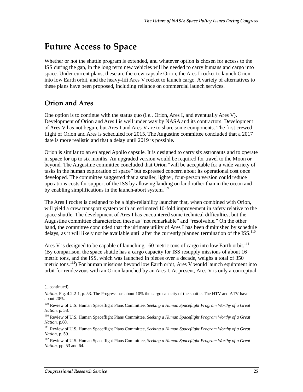# **Future Access to Space**

Whether or not the shuttle program is extended, and whatever option is chosen for access to the ISS during the gap, in the long term new vehicles will be needed to carry humans and cargo into space. Under current plans, these are the crew capsule Orion, the Ares I rocket to launch Orion into low Earth orbit, and the heavy-lift Ares V rocket to launch cargo. A variety of alternatives to these plans have been proposed, including reliance on commercial launch services.

## **Orion and Ares**

One option is to continue with the status quo (i.e., Orion, Ares I, and eventually Ares V). Development of Orion and Ares I is well under way by NASA and its contractors. Development of Ares V has not begun, but Ares I and Ares V are to share some components. The first crewed flight of Orion and Ares is scheduled for 2015. The Augustine committee concluded that a 2017 date is more realistic and that a delay until 2019 is possible.

Orion is similar to an enlarged Apollo capsule. It is designed to carry six astronauts and to operate in space for up to six months. An upgraded version would be required for travel to the Moon or beyond. The Augustine committee concluded that Orion "will be acceptable for a wide variety of tasks in the human exploration of space" but expressed concern about its operational cost once developed. The committee suggested that a smaller, lighter, four-person version could reduce operations costs for support of the ISS by allowing landing on land rather than in the ocean and by enabling simplifications in the launch-abort system.<sup>109</sup>

The Ares I rocket is designed to be a high-reliability launcher that, when combined with Orion, will yield a crew transport system with an estimated 10-fold improvement in safety relative to the space shuttle. The development of Ares I has encountered some technical difficulties, but the Augustine committee characterized these as "not remarkable" and "resolvable." On the other hand, the committee concluded that the ultimate utility of Ares I has been diminished by schedule delays, as it will likely not be available until after the currently planned termination of the ISS.<sup>110</sup>

Ares V is designed to be capable of launching 160 metric tons of cargo into low Earth orbit.<sup>111</sup> (By comparison, the space shuttle has a cargo capacity for ISS resupply missions of about 16 metric tons, and the ISS, which was launched in pieces over a decade, weighs a total of 350 metric tons.<sup>112</sup>) For human missions beyond low Earth orbit, Ares V would launch equipment into orbit for rendezvous with an Orion launched by an Ares I. At present, Ares V is only a conceptual

1

<sup>(...</sup>continued)

*Nation*, Fig. 4.2.2-1, p. 53. The Progress has about 10% the cargo capacity of the shuttle. The HTV and ATV have about 20%.

<sup>109</sup> Review of U.S. Human Spaceflight Plans Committee, *Seeking a Human Spaceflight Program Worthy of a Great Nation*, p. 58.

<sup>110</sup> Review of U.S. Human Spaceflight Plans Committee, *Seeking a Human Spaceflight Program Worthy of a Great Nation*, p.60.

<sup>111</sup> Review of U.S. Human Spaceflight Plans Committee, *Seeking a Human Spaceflight Program Worthy of a Great Nation*, p. 59.

<sup>112</sup> Review of U.S. Human Spaceflight Plans Committee, *Seeking a Human Spaceflight Program Worthy of a Great Nation*, pp. 53 and 64.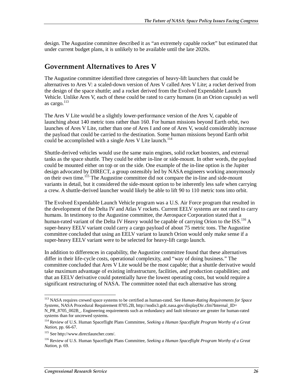design. The Augustine committee described it as "an extremely capable rocket" but estimated that under current budget plans, it is unlikely to be available until the late 2020s.

### **Government Alternatives to Ares V**

The Augustine committee identified three categories of heavy-lift launchers that could be alternatives to Ares V: a scaled-down version of Ares V called Ares V Lite; a rocket derived from the design of the space shuttle; and a rocket derived from the Evolved Expendable Launch Vehicle. Unlike Ares V, each of these could be rated to carry humans (in an Orion capsule) as well as cargo.<sup>113</sup>

The Ares V Lite would be a slightly lower-performance version of the Ares V, capable of launching about 140 metric tons rather than 160. For human missions beyond Earth orbit, two launches of Ares V Lite, rather than one of Ares I and one of Ares V, would considerably increase the payload that could be carried to the destination. Some human missions beyond Earth orbit could be accomplished with a single Ares V Lite launch.<sup>114</sup>

Shuttle-derived vehicles would use the same main engines, solid rocket boosters, and external tanks as the space shuttle. They could be either in-line or side-mount. In other words, the payload could be mounted either on top or on the side. One example of the in-line option is the Jupiter design advocated by DIRECT, a group ostensibly led by NASA engineers working anonymously on their own time.<sup>115</sup> The Augustine committee did not compare the in-line and side-mount variants in detail, but it considered the side-mount option to be inherently less safe when carrying a crew. A shuttle-derived launcher would likely be able to lift 90 to 110 metric tons into orbit.

The Evolved Expendable Launch Vehicle program was a U.S. Air Force program that resulted in the development of the Delta IV and Atlas V rockets. Current EELV systems are not rated to carry humans. In testimony to the Augustine committee, the Aerospace Corporation stated that a human-rated variant of the Delta IV Heavy would be capable of carrying Orion to the ISS.<sup>116</sup> A super-heavy EELV variant could carry a cargo payload of about 75 metric tons. The Augustine committee concluded that using an EELV variant to launch Orion would only make sense if a super-heavy EELV variant were to be selected for heavy-lift cargo launch.

In addition to differences in capability, the Augustine committee found that these alternatives differ in their life-cycle costs, operational complexity, and "way of doing business." The committee concluded that Ares V Lite would be the most capable; that a shuttle derivative would take maximum advantage of existing infrastructure, facilities, and production capabilities; and that an EELV derivative could potentially have the lowest operating costs, but would require a significant restructuring of NASA. The committee noted that each alternative has strong

<sup>113</sup> NASA requires crewed space systems to be certified as human-rated. See *Human-Rating Requirements for Space Systems*, NASA Procedural Requirement 8705.2B, http://nodis3.gsfc.nasa.gov/displayDir.cfm?Internal\_ID= N\_PR\_8705\_002B\_. Engineering requirements such as redundancy and fault tolerance are greater for human-rated systems than for uncrewed systems.

<sup>114</sup> Review of U.S. Human Spaceflight Plans Committee, *Seeking a Human Spaceflight Program Worthy of a Great Nation*, pp. 66-67.

<sup>115</sup> See http://www.directlauncher.com/.

<sup>116</sup> Review of U.S. Human Spaceflight Plans Committee, *Seeking a Human Spaceflight Program Worthy of a Great Nation*, p. 69.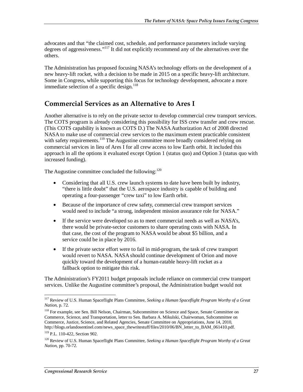advocates and that "the claimed cost, schedule, and performance parameters include varying degrees of aggressiveness."117 It did not explicitly recommend any of the alternatives over the others.

The Administration has proposed focusing NASA's technology efforts on the development of a new heavy-lift rocket, with a decision to be made in 2015 on a specific heavy-lift architecture. Some in Congress, while supporting this focus for technology development, advocate a more immediate selection of a specific design.<sup>118</sup>

#### **Commercial Services as an Alternative to Ares I**

Another alternative is to rely on the private sector to develop commercial crew transport services. The COTS program is already considering this possibility for ISS crew transfer and crew rescue. (This COTS capability is known as COTS D.) The NASA Authorization Act of 2008 directed NASA to make use of commercial crew services to the maximum extent practicable consistent with safety requirements.<sup>119</sup> The Augustine committee more broadly considered relying on commercial services in lieu of Ares I for all crew access to low Earth orbit. It included this approach in all the options it evaluated except Option 1 (status quo) and Option 3 (status quo with increased funding).

The Augustine committee concluded the following: $120$ 

- Considering that all U.S. crew launch systems to date have been built by industry, "there is little doubt" that the U.S. aerospace industry is capable of building and operating a four-passenger "crew taxi" to low Earth orbit.
- Because of the importance of crew safety, commercial crew transport services would need to include "a strong, independent mission assurance role for NASA."
- If the service were developed so as to meet commercial needs as well as NASA's, there would be private-sector customers to share operating costs with NASA. In that case, the cost of the program to NASA would be about \$5 billion, and a service could be in place by 2016.
- If the private sector effort were to fail in mid-program, the task of crew transport would revert to NASA. NASA should continue development of Orion and move quickly toward the development of a human-ratable heavy-lift rocket as a fallback option to mitigate this risk.

The Administration's FY2011 budget proposals include reliance on commercial crew transport services. Unlike the Augustine committee's proposal, the Administration budget would not

<sup>117</sup> Review of U.S. Human Spaceflight Plans Committee, *Seeking a Human Spaceflight Program Worthy of a Great Nation*, p. 72.

<sup>&</sup>lt;sup>118</sup> For example, see Sen. Bill Nelson, Chairman, Subcommittee on Science and Space, Senate Committee on Commerce, Science, and Transportation, letter to Sen. Barbara A. Mikulski, Chairwoman, Subcommittee on Commerce, Justice, Science, and Related Agencies, Senate Committee on Appropriations, June 14, 2010, http://blogs.orlandosentinel.com/news\_space\_thewritestuff/files/2010/06/BN\_letter\_to\_BAM\_061410.pdf.

<sup>119</sup> P.L. 110-422, Section 902.

<sup>120</sup> Review of U.S. Human Spaceflight Plans Committee, *Seeking a Human Spaceflight Program Worthy of a Great Nation*, pp. 70-72.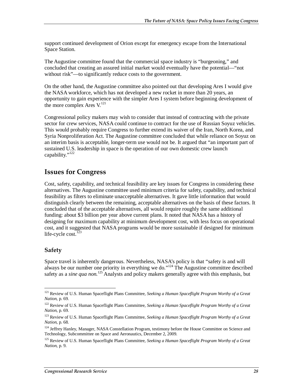support continued development of Orion except for emergency escape from the International Space Station.

The Augustine committee found that the commercial space industry is "burgeoning," and concluded that creating an assured initial market would eventually have the potential—"not without risk"—to significantly reduce costs to the government.

On the other hand, the Augustine committee also pointed out that developing Ares I would give the NASA workforce, which has not developed a new rocket in more than 20 years, an opportunity to gain experience with the simpler Ares I system before beginning development of the more complex Ares V.<sup>121</sup>

Congressional policy makers may wish to consider that instead of contracting with the private sector for crew services, NASA could continue to contract for the use of Russian Soyuz vehicles. This would probably require Congress to further extend its waiver of the Iran, North Korea, and Syria Nonproliferation Act. The Augustine committee concluded that while reliance on Soyuz on an interim basis is acceptable, longer-term use would not be. It argued that "an important part of sustained U.S. leadership in space is the operation of our own domestic crew launch capability."<sup>122</sup>

### **Issues for Congress**

Cost, safety, capability, and technical feasibility are key issues for Congress in considering these alternatives. The Augustine committee used minimum criteria for safety, capability, and technical feasibility as filters to eliminate unacceptable alternatives. It gave little information that would distinguish clearly between the remaining, acceptable alternatives on the basis of these factors. It concluded that of the acceptable alternatives, all would require roughly the same additional funding: about \$3 billion per year above current plans. It noted that NASA has a history of designing for maximum capability at minimum development cost, with less focus on operational cost, and it suggested that NASA programs would be more sustainable if designed for minimum life-cycle cost. $123$ 

#### **Safety**

Space travel is inherently dangerous. Nevertheless, NASA's policy is that "safety is and will always be our number one priority in everything we do."<sup>124</sup> The Augustine committee described safety as a *sine qua non*.<sup>125</sup> Analysts and policy makers generally agree with this emphasis, but

<sup>&</sup>lt;u>.</u> 121 Review of U.S. Human Spaceflight Plans Committee, *Seeking a Human Spaceflight Program Worthy of a Great Nation*, p. 69.

<sup>122</sup> Review of U.S. Human Spaceflight Plans Committee, *Seeking a Human Spaceflight Program Worthy of a Great Nation*, p. 69.

<sup>123</sup> Review of U.S. Human Spaceflight Plans Committee, *Seeking a Human Spaceflight Program Worthy of a Great Nation*, p. 68.

<sup>&</sup>lt;sup>124</sup> Jeffrey Hanley, Manager, NASA Constellation Program, testimony before the House Committee on Science and Technology, Subcommittee on Space and Aeronautics, December 2, 2009.

<sup>125</sup> Review of U.S. Human Spaceflight Plans Committee, *Seeking a Human Spaceflight Program Worthy of a Great Nation*, p. 9.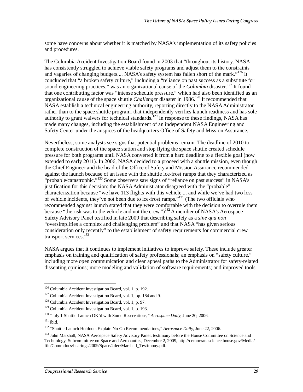some have concerns about whether it is matched by NASA's implementation of its safety policies and procedures.

The Columbia Accident Investigation Board found in 2003 that "throughout its history, NASA has consistently struggled to achieve viable safety programs and adjust them to the constraints and vagaries of changing budgets.... NASA's safety system has fallen short of the mark."<sup>126</sup> It concluded that "a broken safety culture," including a "reliance on past success as a substitute for sound engineering practices," was an organizational cause of the *Columbia* disaster.<sup>127</sup> It found that one contributing factor was "intense schedule pressure," which had also been identified as an organizational cause of the space shuttle *Challenger* disaster in 1986.<sup>128</sup> It recommended that NASA establish a technical engineering authority, reporting directly to the NASA Administrator rather than to the space shuttle program, that independently verifies launch readiness and has sole authority to grant waivers for technical standards.<sup>129</sup> In response to these findings, NASA has made many changes, including the establishment of an independent NASA Engineering and Safety Center under the auspices of the headquarters Office of Safety and Mission Assurance.

Nevertheless, some analysts see signs that potential problems remain. The deadline of 2010 to complete construction of the space station and stop flying the space shuttle created schedule pressure for both programs until NASA converted it from a hard deadline to a flexible goal (now extended to early 2011). In 2006, NASA decided to a proceed with a shuttle mission, even though the Chief Engineer and the head of the Office of Safety and Mission Assurance recommended against the launch because of an issue with the shuttle ice-frost ramps that they characterized as "probable/catastrophic."<sup>130</sup> Some observers saw signs of "reliance on past success" in NASA's justification for this decision: the NASA Administrator disagreed with the "probable" characterization because "we have 113 flights with this vehicle ... and while we've had two loss of vehicle incidents, they've not been due to ice-frost ramps."131 (The two officials who recommended against launch stated that they were comfortable with the decision to overrule them because "the risk was to the vehicle and not the crew.")<sup>132</sup> A member of NASA's Aerospace Safety Advisory Panel testified in late 2009 that describing safety as a *sine qua non* "oversimplifies a complex and challenging problem" and that NASA "has given serious consideration only recently" to the establishment of safety requirements for commercial crew transport services.<sup>133</sup>

NASA argues that it continues to implement initiatives to improve safety. These include greater emphasis on training and qualification of safety professionals; an emphasis on "safety culture," including more open communication and clear appeal paths to the Administrator for safety-related dissenting opinions; more modeling and validation of software requirements; and improved tools

<sup>-</sup>126 Columbia Accident Investigation Board, vol. 1, p. 192.

<sup>&</sup>lt;sup>127</sup> Columbia Accident Investigation Board, vol. 1, pp. 184 and 9.

<sup>128</sup> Columbia Accident Investigation Board, vol. 1, p. 97.

<sup>129</sup> Columbia Accident Investigation Board, vol. 1, p. 193.

<sup>&</sup>lt;sup>130</sup> "July 1 Shuttle Launch OK'd with Some Reservations," *Aerospace Daily*, June 20, 2006.<br><sup>131</sup> Ibid.

<sup>132 &</sup>quot;Shuttle Launch Holdouts Explain No-Go Recommendations," *Aerospace Daily*, June 22, 2006.

<sup>&</sup>lt;sup>133</sup> John Marshall, NASA Aerospace Safety Advisory Panel, testimony before the House Committee on Science and Technology, Subcommittee on Space and Aeronautics, December 2, 2009, http://democrats.science.house.gov/Media/ file/Commdocs/hearings/2009/Space/2dec/Marshall\_Testimony.pdf.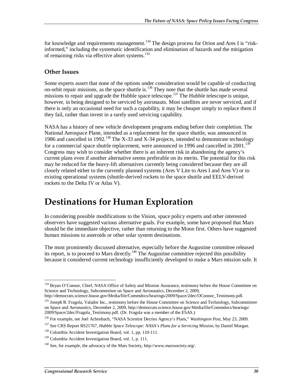for knowledge and requirements management.<sup>134</sup> The design process for Orion and Ares I is "riskinformed," including the systematic identification and elimination of hazards and the mitigation of remaining risks via effective abort systems.<sup>135</sup>

#### **Other Issues**

Some experts assert that none of the options under consideration would be capable of conducting on-orbit repair missions, as the space shuttle is.<sup>136</sup> They note that the shuttle has made several missions to repair and upgrade the Hubble space telescope.<sup>137</sup> The Hubble telescope is unique, however, in being designed to be serviced by astronauts. Most satellites are never serviced, and if there is only an occasional need for such a capability, it may be cheaper simply to replace them if they fail, rather than invest in a rarely used servicing capability.

NASA has a history of new vehicle development programs ending before their completion. The National Aerospace Plane, intended as a replacement for the space shuttle, was announced in 1986 and cancelled in 1992.<sup>138</sup> The X-33 and X-34 projects, intended to demonstrate technology for a commercial space shuttle replacement, were announced in 1996 and cancelled in  $2001$ .<sup>13</sup> Congress may wish to consider whether there is an inherent risk in abandoning the agency's current plans even if another alternative seems preferable on its merits. The potential for this risk may be reduced for the heavy-lift alternatives currently being considered because they are all closely related either to the currently planned systems (Ares V Lite to Ares I and Ares V) or to existing operational systems (shuttle-derived rockets to the space shuttle and EELV-derived rockets to the Delta IV or Atlas V).

# **Destinations for Human Exploration**

In considering possible modifications to the Vision, space policy experts and other interested observers have suggested various alternative goals. For example, some have proposed that Mars should be the immediate objective, rather than returning to the Moon first. Others have suggested human missions to asteroids or other solar system destinations.

The most prominently discussed alternative, especially before the Augustine committee released its report, is to proceed to Mars directly.140 The Augustine committee rejected this possibility because it considered current technology insufficiently developed to make a Mars mission safe. It

<sup>-</sup><sup>134</sup> Bryan O'Connor, Chief, NASA Office of Safety and Mission Assurance, testimony before the House Committee on Science and Technology, Subcommittee on Space and Aeronautics, December 2, 2009,

http://democrats.science.house.gov/Media/file/Commdocs/hearings/2009/Space/2dec/OConnor\_Testimony.pdf.

<sup>&</sup>lt;sup>135</sup> Joseph R. Fragola, Valador Inc., testimony before the House Committee on Science and Technology, Subcommittee on Space and Aeronautics, December 2, 2009, http://democrats.science.house.gov/Media/file/Commdocs/hearings/ 2009/Space/2dec/Fragola\_Testimony.pdf. (Dr. Fragola was a member of the ESAS.)

<sup>136</sup> For example, see Joel Achenbach, "NASA Scientist Decries Agency's Plans," *Washington Post*, May 23, 2009.

<sup>137</sup> See CRS Report RS21767, *Hubble Space Telescope: NASA's Plans for a Servicing Mission*, by Daniel Morgan.

<sup>138</sup> Columbia Accident Investigation Board, vol. 1, pp. 110-111.

<sup>&</sup>lt;sup>139</sup> Columbia Accident Investigation Board, vol. 1, p. 111.

 $140$  See, for example, the advocacy of the Mars Society, http://www.marssociety.org/.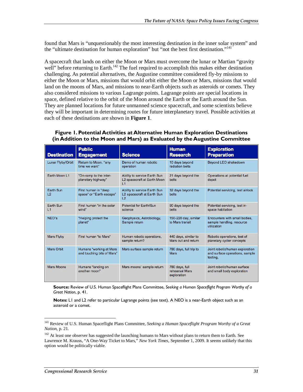found that Mars is "unquestionably the most interesting destination in the inner solar system" and the "ultimate destination for human exploration" but "not the best first destination."<sup>141</sup>

A spacecraft that lands on either the Moon or Mars must overcome the lunar or Martian "gravity well" before returning to Earth.<sup>142</sup> The fuel required to accomplish this makes either destination challenging. As potential alternatives, the Augustine committee considered fly-by missions to either the Moon or Mars, missions that would orbit either the Moon or Mars, missions that would land on the moons of Mars, and missions to near-Earth objects such as asteroids or comets. They also considered missions to various Lagrange points. Lagrange points are special locations in space, defined relative to the orbit of the Moon around the Earth or the Earth around the Sun. They are planned locations for future unmanned science spacecraft, and some scientists believe they will be important in determining routes for future interplanetary travel. Possible activities at each of these destinations are shown in **Figure 1**.

#### **Figure 1. Potential Activities at Alternative Human Exploration Destinations (in Addition to the Moon and Mars) as Evaluated by the Augustine Committee**

| <b>Destination</b>          | <b>Public</b><br><b>Engagement</b>                    | <b>Science</b>                                                    | <b>Human</b><br><b>Research</b>                 | <b>Exploration</b><br><b>Preparation</b>                                      |
|-----------------------------|-------------------------------------------------------|-------------------------------------------------------------------|-------------------------------------------------|-------------------------------------------------------------------------------|
| Lunar Flyby/Orbit           | Return to Moon, "any<br>time we want"                 | Demo of human robotic<br>operation                                | 10 days beyond<br>radiation belts               | Beyond LEO shakedown                                                          |
| Earth Moon L1               | "On-ramp to the inter-<br>planetary highway"          | Ability to service Earth Sun<br>L2 spacecraft at Earth Moon<br>L1 | 21 days beyond the<br>belts                     | Operations at potential fuel<br>depot                                         |
| Earth Sun<br>L <sub>2</sub> | First human in "deep<br>space" or "Earth escape"      | Ability to service Earth Sun<br>L2 spacecraft at Earth Sun<br>L2  | 32 days beyond the<br><b>belts</b>              | Potential servicing, test airlock                                             |
| Earth Sun<br>L1             | First human "in the solar<br>wind"                    | Potential for Earth/Sun<br>science                                | 90 days beyond the<br>belts                     | Potential servicing, test in-<br>space habitation                             |
| NEO's                       | "Helping protect the<br>planet"                       | Geophysics, Astrobiology,<br>Sample return                        | 150-220 day, similar<br>to Mars transit         | Encounters with small bodies,<br>sample handling, resource<br>utilization     |
| <b>Mars Flyby</b>           | First human "to Mars"                                 | Human robotic operations.<br>sample return?                       | 440 days, similar to<br>Mars out and return     | Robotic operations, test of<br>planetary cycler concepts                      |
| Mars Orbit                  | Humans "working at Mars<br>and touching bits of Mars" | Mars surface sample return                                        | 780 days, full trip to<br><b>Mars</b>           | Joint robotic/human exploration<br>and surface operations, sample<br>testing, |
| <b>Mars Moons</b>           | Humans "landing on<br>another moon"                   | Mars moons' sample return                                         | 780 days, full<br>rehearsal Mars<br>exploration | Joint robotic/human surface<br>and small body exploration                     |

**Source:** Review of U.S. Human Spaceflight Plans Committee, *Seeking a Human Spaceflight Program Worthy of a Great Nation*, p. 41.

**Notes:** L1 and L2 refer to particular Lagrange points (see text). A NEO is a near-Earth object such as an asteroid or a comet.

<u>.</u>

<sup>141</sup> Review of U.S. Human Spaceflight Plans Committee, *Seeking a Human Spaceflight Program Worthy of a Great Nation*, p. 21.

<sup>&</sup>lt;sup>142</sup> At least one observer has suggested the launching humans to Mars without plans to return them to Earth. See Lawrence M. Krauss, "A One-Way Ticket to Mars," *New York Times*, September 1, 2009. It seems unlikely that this option would be politically viable.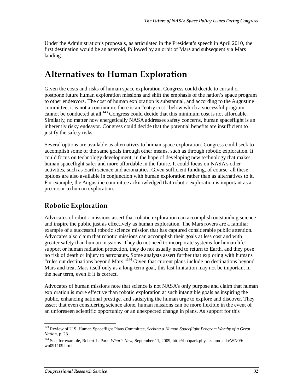Under the Administration's proposals, as articulated in the President's speech in April 2010, the first destination would be an asteroid, followed by an orbit of Mars and subsequently a Mars landing.

## **Alternatives to Human Exploration**

Given the costs and risks of human space exploration, Congress could decide to curtail or postpone future human exploration missions and shift the emphasis of the nation's space program to other endeavors. The cost of human exploration is substantial, and according to the Augustine committee, it is not a continuum: there is an "entry cost" below which a successful program cannot be conducted at all.<sup>143</sup> Congress could decide that this minimum cost is not affordable. Similarly, no matter how energetically NASA addresses safety concerns, human spaceflight is an inherently risky endeavor. Congress could decide that the potential benefits are insufficient to justify the safety risks.

Several options are available as alternatives to human space exploration. Congress could seek to accomplish some of the same goals through other means, such as through robotic exploration. It could focus on technology development, in the hope of developing new technology that makes human spaceflight safer and more affordable in the future. It could focus on NASA's other activities, such as Earth science and aeronautics. Given sufficient funding, of course, all these options are also available in conjunction with human exploration rather than as alternatives to it. For example, the Augustine committee acknowledged that robotic exploration is important as a precursor to human exploration.

### **Robotic Exploration**

Advocates of robotic missions assert that robotic exploration can accomplish outstanding science and inspire the public just as effectively as human exploration. The Mars rovers are a familiar example of a successful robotic science mission that has captured considerable public attention. Advocates also claim that robotic missions can accomplish their goals at less cost and with greater safety than human missions. They do not need to incorporate systems for human life support or human radiation protection, they do not usually need to return to Earth, and they pose no risk of death or injury to astronauts. Some analysts assert further that exploring with humans "rules out destinations beyond Mars."144 Given that current plans include no destinations beyond Mars and treat Mars itself only as a long-term goal, this last limitation may not be important in the near term, even if it is correct.

Advocates of human missions note that science is not NASA's only purpose and claim that human exploration is more effective than robotic exploration at such intangible goals as inspiring the public, enhancing national prestige, and satisfying the human urge to explore and discover. They assert that even considering science alone, human missions can be more flexible in the event of an unforeseen scientific opportunity or an unexpected change in plans. As support for this

<sup>-</sup>143 Review of U.S. Human Spaceflight Plans Committee, *Seeking a Human Spaceflight Program Worthy of a Great Nation*, p. 23.

<sup>144</sup> See, for example, Robert L. Park, *What's New*, September 11, 2009, http://bobpark.physics.umd.edu/WN09/ wn091109.html.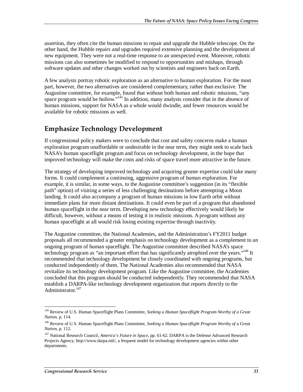assertion, they often cite the human missions to repair and upgrade the Hubble telescope. On the other hand, the Hubble repairs and upgrades required extensive planning and the development of new equipment. They were not a real-time response to an unexpected event. Moreover, robotic missions can also sometimes be modified to respond to opportunities and mishaps, through software updates and other changes worked out by scientists and engineers back on Earth.

A few analysts portray robotic exploration as an alternative to human exploration. For the most part, however, the two alternatives are considered complementary, rather than exclusive. The Augustine committee, for example, found that without both human and robotic missions, "any space program would be hollow."<sup>145</sup> In addition, many analysts consider that in the absence of human missions, support for NASA as a whole would dwindle, and fewer resources would be available for robotic missions as well.

## **Emphasize Technology Development**

If congressional policy makers were to conclude that cost and safety concerns make a human exploration program unaffordable or undesirable in the near term, they might seek to scale back NASA's human spaceflight program and focus on technology development, in the hope that improved technology will make the costs and risks of space travel more attractive in the future.

The strategy of developing improved technology and acquiring greater expertise could take many forms. It could complement a continuing, aggressive program of human exploration. For example, it is similar, in some ways, to the Augustine committee's suggestion (in its "flexible path" option) of visiting a series of less challenging destinations before attempting a Moon landing. It could also accompany a program of human missions in low Earth orbit without immediate plans for more distant destinations. It could even be part of a program that abandoned human spaceflight in the near term. Developing new technology effectively would likely be difficult, however, without a means of testing it in realistic missions. A program without any human spaceflight at all would risk losing existing expertise through inactivity.

The Augustine committee, the National Academies, and the Administration's FY2011 budget proposals all recommended a greater emphasis on technology development as a complement to an ongoing program of human spaceflight. The Augustine committee described NASA's space technology program as "an important effort that has significantly atrophied over the years."<sup>146</sup> It recommended that technology development be closely coordinated with ongoing programs, but conducted independently of them. The National Academies also recommended that NASA revitalize its technology development program. Like the Augustine committee, the Academies concluded that this program should be conducted independently. They recommended that NASA establish a DARPA-like technology development organization that reports directly to the Administrator.<sup>147</sup>

<sup>-</sup>145 Review of U.S. Human Spaceflight Plans Committee, *Seeking a Human Spaceflight Program Worthy of a Great Nation*, p. 114.

<sup>146</sup> Review of U.S. Human Spaceflight Plans Committee, *Seeking a Human Spaceflight Program Worthy of a Great Nation*, p. 112.

<sup>147</sup> National Research Council, *America's Future in Space*, pp. 61-62. DARPA is the Defense Advanced Research Projects Agency, http://www.darpa.mil/, a frequent model for technology development agencies within other departments.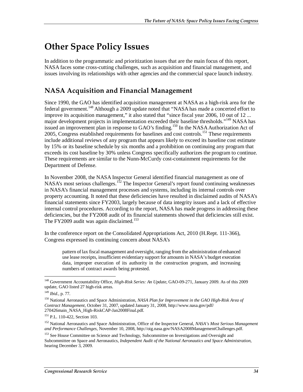# **Other Space Policy Issues**

In addition to the programmatic and prioritization issues that are the main focus of this report, NASA faces some cross-cutting challenges, such as acquisition and financial management, and issues involving its relationships with other agencies and the commercial space launch industry.

## **NASA Acquisition and Financial Management**

Since 1990, the GAO has identified acquisition management at NASA as a high-risk area for the federal government.<sup>148</sup> Although a 2009 update noted that "NASA has made a concerted effort to improve its acquisition management," it also stated that "since fiscal year 2006, 10 out of 12 ... major development projects in implementation exceeded their baseline thresholds."<sup>149</sup> NASA has issued an improvement plan in response to GAO's finding.<sup>150</sup> In the NASA Authorization Act of 2005, Congress established requirements for baselines and cost controls.<sup>151</sup> These requirements include additional reviews of any program that appears likely to exceed its baseline cost estimate by 15% or its baseline schedule by six months and a prohibition on continuing any program that exceeds its cost baseline by 30% unless Congress specifically authorizes the program to continue. These requirements are similar to the Nunn-McCurdy cost-containment requirements for the Department of Defense.

In November 2008, the NASA Inspector General identified financial management as one of NASA's most serious challenges.<sup>152</sup> The Inspector General's report found continuing weaknesses in NASA's financial management processes and systems, including its internal controls over property accounting. It noted that these deficiencies have resulted in disclaimed audits of NASA's financial statements since FY2003, largely because of data integrity issues and a lack of effective internal control procedures. According to the report, NASA has made progress in addressing these deficiencies, but the FY2008 audit of its financial statements showed that deficiencies still exist. The FY2009 audit was again disclaimed.<sup>153</sup>

In the conference report on the Consolidated Appropriations Act, 2010 (H.Rept. 111-366), Congress expressed its continuing concern about NASA's

pattern of lax fiscal management and oversight, ranging from the administration of enhanced use lease receipts, insufficient evidentiary support for amounts in NASA's budget execution data, improper execution of its authority in the construction program, and increasing numbers of contract awards being protested.

<sup>148</sup> Government Accountability Office, *High-Risk Series: An Update*, GAO-09-271, January 2009. As of this 2009 update, GAO listed 27 high-risk areas.

<sup>149</sup> *Ibid.*, p. 77.

<sup>150</sup> National Aeronautics and Space Administration, *NASA Plan for Improvement in the GAO High-Risk Area of Contract Management*, October 31, 2007, updated January 31, 2008, http://www.nasa.gov/pdf/ 270426main\_NASA\_High-RiskCAP-Jan2008Final.pdf.

<sup>151</sup> P.L. 110-422, Section 103.

<sup>152</sup> National Aeronautics and Space Administration, Office of the Inspector General, *NASA's Most Serious Management and Performance Challenges*, November 10, 2008, http://oig.nasa.gov/NASA2008ManagementChallenges.pdf.

<sup>&</sup>lt;sup>153</sup> See House Committee on Science and Technology, Subcommittee on Investigations and Oversight and Subcommittee on Space and Aeronautics, *Independent Audit of the National Aeronautics and Space Administration*, hearing December 3, 2009.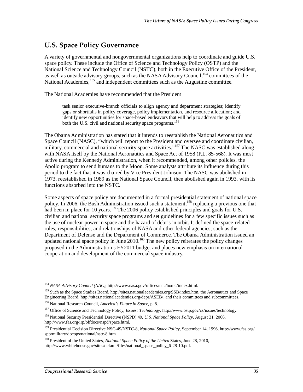### **U.S. Space Policy Governance**

A variety of governmental and nongovernmental organizations help to coordinate and guide U.S. space policy. These include the Office of Science and Technology Policy (OSTP) and the National Science and Technology Council (NSTC), both in the Executive Office of the President, as well as outside advisory groups, such as the NASA Advisory Council,<sup>154</sup> committees of the National Academies,<sup>155</sup> and independent committees such as the Augustine committee.

The National Academies have recommended that the President

task senior executive-branch officials to align agency and department strategies; identify gaps or shortfalls in policy coverage, policy implementation, and resource allocation; and identify new opportunities for space-based endeavors that will help to address the goals of both the U.S. civil and national security space programs.<sup>156</sup>

The Obama Administration has stated that it intends to reestablish the National Aeronautics and Space Council (NASC), "which will report to the President and oversee and coordinate civilian, military, commercial and national security space activities."<sup>157</sup> The NASC was established along with NASA itself by the National Aeronautics and Space Act of 1958 (P.L. 85-568). It was most active during the Kennedy Administration, when it recommended, among other policies, the Apollo program to send humans to the Moon. Some analysts attribute its influence during this period to the fact that it was chaired by Vice President Johnson. The NASC was abolished in 1973, reestablished in 1989 as the National Space Council, then abolished again in 1993, with its functions absorbed into the NSTC.

Some aspects of space policy are documented in a formal presidential statement of national space policy. In 2006, the Bush Administration issued such a statement,<sup>158</sup> replacing a previous one that had been in place for 10 years.<sup>159</sup> The 2006 policy established principles and goals for U.S. civilian and national security space programs and set guidelines for a few specific issues such as the use of nuclear power in space and the hazard of debris in orbit. It defined the space-related roles, responsibilities, and relationships of NASA and other federal agencies, such as the Department of Defense and the Department of Commerce. The Obama Administration issued an updated national space policy in June  $2010$ <sup>160</sup> The new policy reiterates the policy changes proposed in the Administration's FY2011 budget and places new emphasis on international cooperation and development of the commercial space industry.

<sup>-</sup><sup>154</sup> *NASA Advisory Council (NAC)*, http://www.nasa.gov/offices/nac/home/index.html.

<sup>155</sup> Such as the Space Studies Board, http://sites.nationalacademies.org/SSB/index.htm, the Aeronautics and Space Engineering Board, http://sites.nationalacademies.org/deps/ASEB/, and their committees and subcommittees.

<sup>156</sup> National Research Council, *America's Future in Space*, p. 8.

<sup>157</sup> Office of Science and Technology Policy, *Issues: Technology*, http://www.ostp.gov/cs/issues/technology.

<sup>158</sup> National Security Presidential Directive (NSPD) 49, *U.S. National Space Policy*, August 31, 2006, http://www.fas.org/irp/offdocs/nspd/space.html.

<sup>159</sup> Presidential Decision Directive NSC-49/NSTC-8, *National Space Policy*, September 14, 1996, http://www.fas.org/ spp/military/docops/national/nstc-8.htm.

<sup>160</sup> President of the United States, *National Space Policy of the United* States, June 28, 2010, http://www.whitehouse.gov/sites/default/files/national\_space\_policy\_6-28-10.pdf.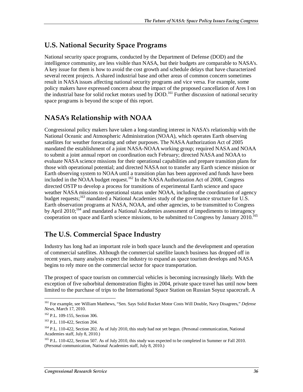### **U.S. National Security Space Programs**

National security space programs, conducted by the Department of Defense (DOD) and the intelligence community, are less visible than NASA, but their budgets are comparable to NASA's. A key issue for them is how to avoid the cost growth and schedule delays that have characterized several recent projects. A shared industrial base and other areas of common concern sometimes result in NASA issues affecting national security programs and vice versa. For example, some policy makers have expressed concern about the impact of the proposed cancellation of Ares I on the industrial base for solid rocket motors used by DOD.<sup>161</sup> Further discussion of national security space programs is beyond the scope of this report.

## **NASA's Relationship with NOAA**

Congressional policy makers have taken a long-standing interest in NASA's relationship with the National Oceanic and Atmospheric Administration (NOAA), which operates Earth observing satellites for weather forecasting and other purposes. The NASA Authorization Act of 2005 mandated the establishment of a joint NASA-NOAA working group; required NASA and NOAA to submit a joint annual report on coordination each February; directed NASA and NOAA to evaluate NASA science missions for their operational capabilities and prepare transition plans for those with operational potential; and directed NASA not to transfer any Earth science mission or Earth observing system to NOAA until a transition plan has been approved and funds have been included in the NOAA budget request.<sup>162</sup> In the NASA Authorization Act of 2008, Congress directed OSTP to develop a process for transitions of experimental Earth science and space weather NASA missions to operational status under NOAA, including the coordination of agency budget requests;<sup>163</sup> mandated a National Academies study of the governance structure for U.S. Earth observation programs at NASA, NOAA, and other agencies, to be transmitted to Congress by April  $2010$ ;<sup>164</sup> and mandated a National Academies assessment of impediments to interagency cooperation on space and Earth science missions, to be submitted to Congress by January 2010.<sup>165</sup>

## **The U.S. Commercial Space Industry**

Industry has long had an important role in both space launch and the development and operation of commercial satellites. Although the commercial satellite launch business has dropped off in recent years, many analysts expect the industry to expand as space tourism develops and NASA begins to rely more on the commercial sector for space transportation.

The prospect of space tourism on commercial vehicles is becoming increasingly likely. With the exception of five suborbital demonstration flights in 2004, private space travel has until now been limited to the purchase of trips to the International Space Station on Russian Soyuz spacecraft. A

<u>.</u>

<sup>161</sup> For example, see William Matthews, "Sen. Says Solid Rocket Motor Costs Will Double, Navy Disagrees," *Defense News*, March 17, 2010.

<sup>&</sup>lt;sup>162</sup> P.L. 109-155, Section 306.

<sup>163</sup> P.L. 110-422, Section 204.

<sup>&</sup>lt;sup>164</sup> P.L. 110-422, Section 202. As of July 2010, this study had not yet begun. (Personal communication, National Academies staff, July 8, 2010.)

<sup>&</sup>lt;sup>165</sup> P.L. 110-422, Section 507. As of July 2010, this study was expected to be completed in Summer or Fall 2010. (Personal communication, National Academies staff, July 8, 2010.)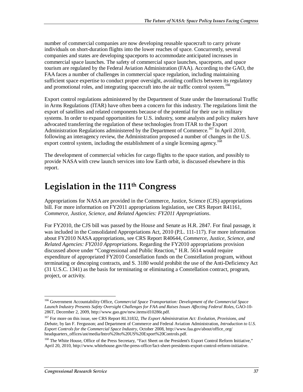number of commercial companies are now developing reusable spacecraft to carry private individuals on short-duration flights into the lower reaches of space. Concurrently, several companies and states are developing spaceports to accommodate anticipated increases in commercial space launches. The safety of commercial space launches, spaceports, and space tourism are regulated by the Federal Aviation Administration (FAA). According to the GAO, the FAA faces a number of challenges in commercial space regulation, including maintaining sufficient space expertise to conduct proper oversight, avoiding conflicts between its regulatory and promotional roles, and integrating spacecraft into the air traffic control system.<sup>166</sup>

Export control regulations administered by the Department of State under the International Traffic in Arms Regulations (ITAR) have often been a concern for this industry. The regulations limit the export of satellites and related components because of the potential for their use in military systems. In order to expand opportunities for U.S. industry, some analysts and policy makers have advocated transferring the regulation of these technologies from ITAR to the Export Administration Regulations administered by the Department of Commerce.<sup>167</sup> In April 2010, following an interagency review, the Administration proposed a number of changes in the U.S. export control system, including the establishment of a single licensing agency.<sup>168</sup>

The development of commercial vehicles for cargo flights to the space station, and possibly to provide NASA with crew launch services into low Earth orbit, is discussed elsewhere in this report.

# **Legislation in the 111th Congress**

Appropriations for NASA are provided in the Commerce, Justice, Science (CJS) appropriations bill. For more information on FY2011 appropriations legislation, see CRS Report R41161, *Commerce, Justice, Science, and Related Agencies: FY2011 Appropriations*.

For FY2010, the CJS bill was passed by the House and Senate as H.R. 2847. For final passage, it was included in the Consolidated Appropriations Act, 2010 (P.L. 111-117). For more information about FY2010 NASA appropriations, see CRS Report R40644, *Commerce, Justice, Science, and Related Agencies: FY2010 Appropriations*. Regarding the FY2010 appropriations provision discussed above under "Congressional and Public Reaction," H.R. 5614 would require expenditure of appropriated FY2010 Constellation funds on the Constellation program, without terminating or descoping contracts, and S. 3180 would prohibit the use of the Anti-Deficiency Act (31 U.S.C. 1341) as the basis for terminating or eliminating a Constellation contract, program, project, or activity.

<sup>166</sup> Government Accountability Office, *Commercial Space Transportation: Development of the Commercial Space Launch Industry Presents Safety Oversight Challenges for FAA and Raises Issues Affecting Federal Roles*, GAO-10- 286T, December 2, 2009, http://www.gao.gov/new.items/d10286t.pdf.

<sup>167</sup> For more on this issue, see CRS Report RL31832, *The Export Administration Act: Evolution, Provisions, and Debate*, by Ian F. Fergusson; and Department of Commerce and Federal Aviation Administration, *Introduction to U.S. Export Controls for the Commercial Space Industry*, October 2008, http://www.faa.gov/about/office\_org/ headquarters\_offices/ast/media/Intro%20to%20US%20Export%20Controls.pdf.

<sup>&</sup>lt;sup>168</sup> The White House, Office of the Press Secretary, "Fact Sheet on the President's Export Control Reform Initiative," April 20, 2010, http://www.whitehouse.gov/the-press-office/fact-sheet-presidents-export-control-reform-initiative.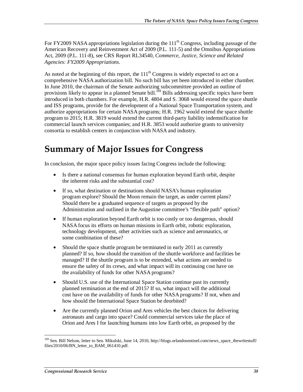For FY2009 NASA appropriations legislation during the  $111<sup>th</sup>$  Congress, including passage of the American Recovery and Reinvestment Act of 2009 (P.L. 111-5) and the Omnibus Appropriations Act, 2009 (P.L. 111-8), see CRS Report RL34540, *Commerce, Justice, Science and Related Agencies: FY2009 Appropriations*.

As noted at the beginning of this report, the  $111<sup>th</sup>$  Congress is widely expected to act on a comprehensive NASA authorization bill. No such bill has yet been introduced in either chamber. In June 2010, the chairman of the Senate authorizing subcommittee provided an outline of provisions likely to appear in a planned Senate bill.<sup>169</sup> Bills addressing specific topics have been introduced in both chambers. For example, H.R. 4804 and S. 3068 would extend the space shuttle and ISS programs, provide for the development of a National Space Transportation system, and authorize appropriations for certain NASA programs; H.R. 1962 would extend the space shuttle program to 2015; H.R. 3819 would extend the current third-party liability indemnification for commercial launch services companies; and H.R. 3853 would authorize grants to university consortia to establish centers in conjunction with NASA and industry.

# **Summary of Major Issues for Congress**

In conclusion, the major space policy issues facing Congress include the following:

- Is there a national consensus for human exploration beyond Earth orbit, despite the inherent risks and the substantial cost?
- If so, what destination or destinations should NASA's human exploration program explore? Should the Moon remain the target, as under current plans? Should there be a graduated sequence of targets as proposed by the Administration and outlined in the Augustine committee's "flexible path" option?
- If human exploration beyond Earth orbit is too costly or too dangerous, should NASA focus its efforts on human missions in Earth orbit, robotic exploration, technology development, other activities such as science and aeronautics, or some combination of these?
- Should the space shuttle program be terminated in early 2011 as currently planned? If so, how should the transition of the shuttle workforce and facilities be managed? If the shuttle program is to be extended, what actions are needed to ensure the safety of its crews, and what impact will its continuing cost have on the availability of funds for other NASA programs?
- Should U.S. use of the International Space Station continue past its currently planned termination at the end of 2015? If so, what impact will the additional cost have on the availability of funds for other NASA programs? If not, when and how should the International Space Station be deorbited?
- Are the currently planned Orion and Ares vehicles the best choices for delivering astronauts and cargo into space? Could commercial services take the place of Orion and Ares I for launching humans into low Earth orbit, as proposed by the

<sup>&</sup>lt;sup>169</sup> Sen. Bill Nelson, letter to Sen. Mikulski, June 14, 2010, http://blogs.orlandosentinel.com/news\_space\_thewritestuff/ files/2010/06/BN\_letter\_to\_BAM\_061410.pdf.